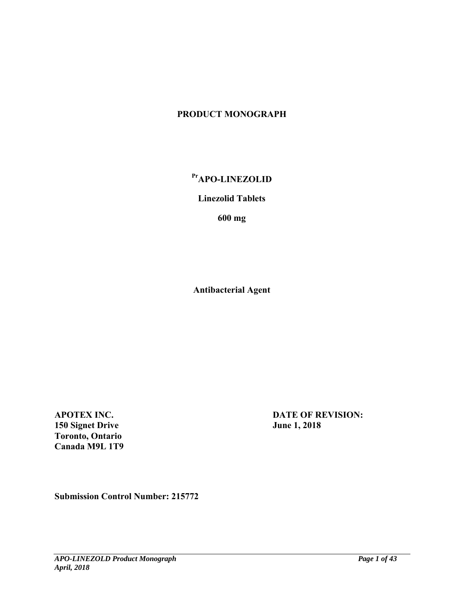# **PRODUCT MONOGRAPH**

# Pr<sub>APO-LINEZOLID</sub>

# **Linezolid Tablets**

**600 mg** 

**Antibacterial Agent** 

**APOTEX INC. 150 Signet Drive Toronto, Ontario Canada M9L 1T9** 

**DATE OF REVISION: June 1, 2018** 

**Submission Control Number: 215772**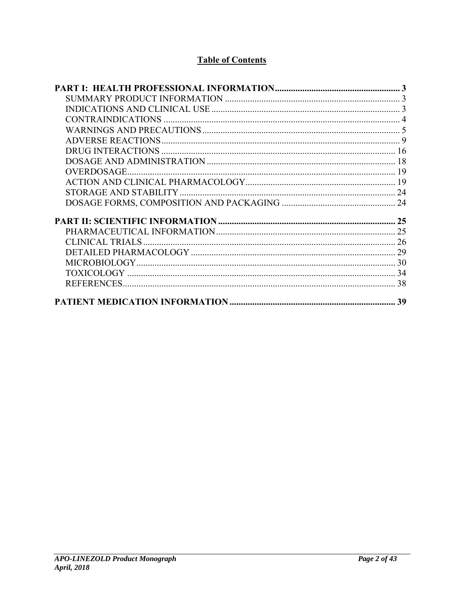# **Table of Contents**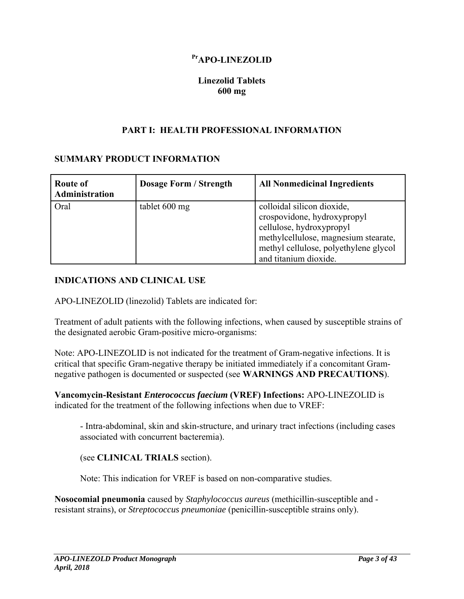# Pr<sub>APO-LINEZOLID</sub>

## **Linezolid Tablets 600 mg**

### **PART I: HEALTH PROFESSIONAL INFORMATION**

### **SUMMARY PRODUCT INFORMATION**

| <b>Route of</b><br>Administration | <b>Dosage Form / Strength</b> | <b>All Nonmedicinal Ingredients</b>                                                                                                                                                             |
|-----------------------------------|-------------------------------|-------------------------------------------------------------------------------------------------------------------------------------------------------------------------------------------------|
| Oral                              | tablet 600 mg                 | colloidal silicon dioxide,<br>crospovidone, hydroxypropyl<br>cellulose, hydroxypropyl<br>methylcellulose, magnesium stearate,<br>methyl cellulose, polyethylene glycol<br>and titanium dioxide. |

## **INDICATIONS AND CLINICAL USE**

APO-LINEZOLID (linezolid) Tablets are indicated for:

Treatment of adult patients with the following infections, when caused by susceptible strains of the designated aerobic Gram-positive micro-organisms:

Note: APO-LINEZOLID is not indicated for the treatment of Gram-negative infections. It is critical that specific Gram-negative therapy be initiated immediately if a concomitant Gramnegative pathogen is documented or suspected (see **WARNINGS AND PRECAUTIONS**).

**Vancomycin-Resistant** *Enterococcus faecium* **(VREF) Infections:** APO-LINEZOLID is indicated for the treatment of the following infections when due to VREF:

- Intra-abdominal, skin and skin-structure, and urinary tract infections (including cases associated with concurrent bacteremia).

(see **CLINICAL TRIALS** section).

Note: This indication for VREF is based on non-comparative studies.

**Nosocomial pneumonia** caused by *Staphylococcus aureus* (methicillin-susceptible and resistant strains), or *Streptococcus pneumoniae* (penicillin-susceptible strains only).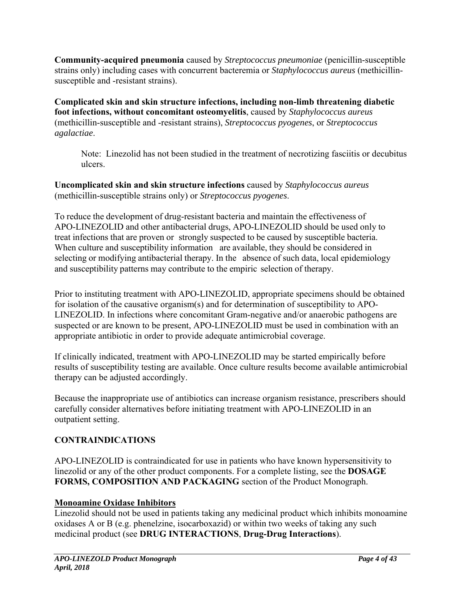**Community-acquired pneumonia** caused by *Streptococcus pneumoniae* (penicillin-susceptible strains only) including cases with concurrent bacteremia or *Staphylococcus aureus* (methicillinsusceptible and -resistant strains).

**Complicated skin and skin structure infections, including non-limb threatening diabetic foot infections, without concomitant osteomyelitis**, caused by *Staphylococcus aureus*  (methicillin-susceptible and -resistant strains), *Streptococcus pyogenes*, or *Streptococcus agalactiae*.

Note: Linezolid has not been studied in the treatment of necrotizing fasciitis or decubitus ulcers.

**Uncomplicated skin and skin structure infections** caused by *Staphylococcus aureus* (methicillin-susceptible strains only) or *Streptococcus pyogenes*.

To reduce the development of drug-resistant bacteria and maintain the effectiveness of APO-LINEZOLID and other antibacterial drugs, APO-LINEZOLID should be used only to treat infections that are proven or strongly suspected to be caused by susceptible bacteria. When culture and susceptibility information are available, they should be considered in selecting or modifying antibacterial therapy. In the absence of such data, local epidemiology and susceptibility patterns may contribute to the empiric selection of therapy.

Prior to instituting treatment with APO-LINEZOLID, appropriate specimens should be obtained for isolation of the causative organism(s) and for determination of susceptibility to APO-LINEZOLID. In infections where concomitant Gram-negative and/or anaerobic pathogens are suspected or are known to be present, APO-LINEZOLID must be used in combination with an appropriate antibiotic in order to provide adequate antimicrobial coverage.

If clinically indicated, treatment with APO-LINEZOLID may be started empirically before results of susceptibility testing are available. Once culture results become available antimicrobial therapy can be adjusted accordingly.

Because the inappropriate use of antibiotics can increase organism resistance, prescribers should carefully consider alternatives before initiating treatment with APO-LINEZOLID in an outpatient setting.

# **CONTRAINDICATIONS**

APO-LINEZOLID is contraindicated for use in patients who have known hypersensitivity to linezolid or any of the other product components. For a complete listing, see the **DOSAGE FORMS, COMPOSITION AND PACKAGING** section of the Product Monograph.

# **Monoamine Oxidase Inhibitors**

Linezolid should not be used in patients taking any medicinal product which inhibits monoamine oxidases A or B (e.g. phenelzine, isocarboxazid) or within two weeks of taking any such medicinal product (see **DRUG INTERACTIONS**, **Drug-Drug Interactions**).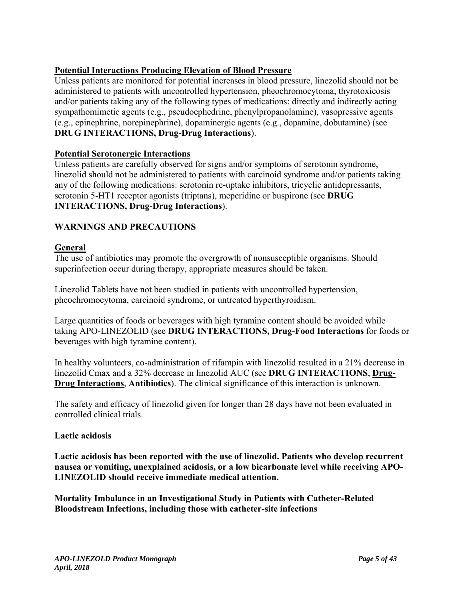# **Potential Interactions Producing Elevation of Blood Pressure**

Unless patients are monitored for potential increases in blood pressure, linezolid should not be administered to patients with uncontrolled hypertension, pheochromocytoma, thyrotoxicosis and/or patients taking any of the following types of medications: directly and indirectly acting sympathomimetic agents (e.g., pseudoephedrine, phenylpropanolamine), vasopressive agents (e.g., epinephrine, norepinephrine), dopaminergic agents (e.g., dopamine, dobutamine) (see **DRUG INTERACTIONS, Drug-Drug Interactions**).

## **Potential Serotonergic Interactions**

Unless patients are carefully observed for signs and/or symptoms of serotonin syndrome, linezolid should not be administered to patients with carcinoid syndrome and/or patients taking any of the following medications: serotonin re-uptake inhibitors, tricyclic antidepressants, serotonin 5-HT1 receptor agonists (triptans), meperidine or buspirone (see **DRUG INTERACTIONS, Drug-Drug Interactions**).

## **WARNINGS AND PRECAUTIONS**

### **General**

The use of antibiotics may promote the overgrowth of nonsusceptible organisms. Should superinfection occur during therapy, appropriate measures should be taken.

Linezolid Tablets have not been studied in patients with uncontrolled hypertension, pheochromocytoma, carcinoid syndrome, or untreated hyperthyroidism.

Large quantities of foods or beverages with high tyramine content should be avoided while taking APO-LINEZOLID (see **DRUG INTERACTIONS, Drug-Food Interactions** for foods or beverages with high tyramine content).

In healthy volunteers, co-administration of rifampin with linezolid resulted in a 21% decrease in linezolid Cmax and a 32% decrease in linezolid AUC (see **DRUG INTERACTIONS**, **Drug-Drug Interactions**, **Antibiotics**). The clinical significance of this interaction is unknown.

The safety and efficacy of linezolid given for longer than 28 days have not been evaluated in controlled clinical trials.

### **Lactic acidosis**

**Lactic acidosis has been reported with the use of linezolid. Patients who develop recurrent nausea or vomiting, unexplained acidosis, or a low bicarbonate level while receiving APO-LINEZOLID should receive immediate medical attention.** 

**Mortality Imbalance in an Investigational Study in Patients with Catheter-Related Bloodstream Infections, including those with catheter-site infections**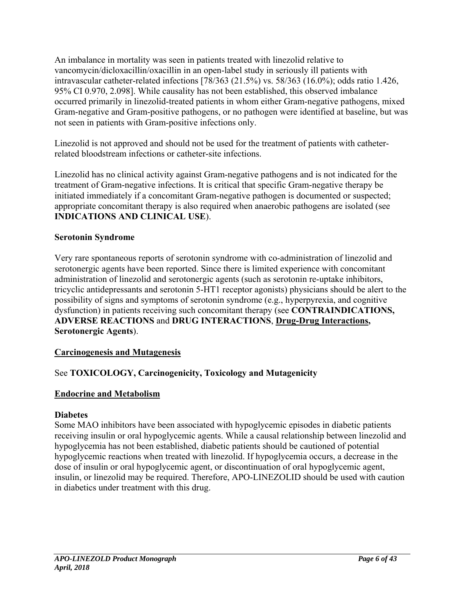An imbalance in mortality was seen in patients treated with linezolid relative to vancomycin/dicloxacillin/oxacillin in an open-label study in seriously ill patients with intravascular catheter-related infections [78/363 (21.5%) vs. 58/363 (16.0%); odds ratio 1.426, 95% CI 0.970, 2.098]. While causality has not been established, this observed imbalance occurred primarily in linezolid-treated patients in whom either Gram-negative pathogens, mixed Gram-negative and Gram-positive pathogens, or no pathogen were identified at baseline, but was not seen in patients with Gram-positive infections only.

Linezolid is not approved and should not be used for the treatment of patients with catheterrelated bloodstream infections or catheter-site infections.

Linezolid has no clinical activity against Gram-negative pathogens and is not indicated for the treatment of Gram-negative infections. It is critical that specific Gram-negative therapy be initiated immediately if a concomitant Gram-negative pathogen is documented or suspected; appropriate concomitant therapy is also required when anaerobic pathogens are isolated (see **INDICATIONS AND CLINICAL USE**).

## **Serotonin Syndrome**

Very rare spontaneous reports of serotonin syndrome with co-administration of linezolid and serotonergic agents have been reported. Since there is limited experience with concomitant administration of linezolid and serotonergic agents (such as serotonin re-uptake inhibitors, tricyclic antidepressants and serotonin 5-HT1 receptor agonists) physicians should be alert to the possibility of signs and symptoms of serotonin syndrome (e.g., hyperpyrexia, and cognitive dysfunction) in patients receiving such concomitant therapy (see **CONTRAINDICATIONS, ADVERSE REACTIONS** and **DRUG INTERACTIONS**, **Drug-Drug Interactions, Serotonergic Agents**).

# **Carcinogenesis and Mutagenesis**

# See **TOXICOLOGY, Carcinogenicity, Toxicology and Mutagenicity**

### **Endocrine and Metabolism**

### **Diabetes**

Some MAO inhibitors have been associated with hypoglycemic episodes in diabetic patients receiving insulin or oral hypoglycemic agents. While a causal relationship between linezolid and hypoglycemia has not been established, diabetic patients should be cautioned of potential hypoglycemic reactions when treated with linezolid. If hypoglycemia occurs, a decrease in the dose of insulin or oral hypoglycemic agent, or discontinuation of oral hypoglycemic agent, insulin, or linezolid may be required. Therefore, APO-LINEZOLID should be used with caution in diabetics under treatment with this drug.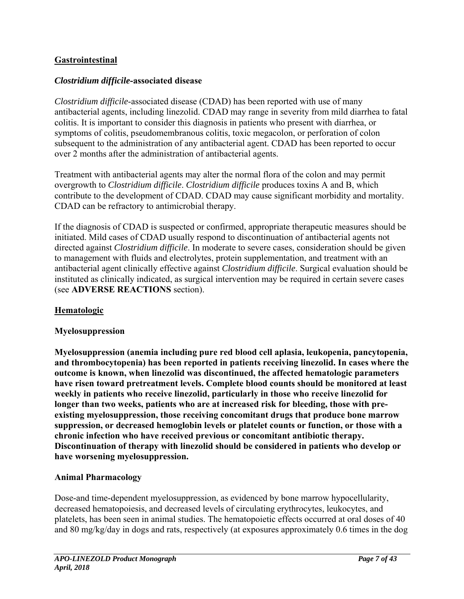# **Gastrointestinal**

#### *Clostridium difficile***-associated disease**

*Clostridium difficile*-associated disease (CDAD) has been reported with use of many antibacterial agents, including linezolid. CDAD may range in severity from mild diarrhea to fatal colitis. It is important to consider this diagnosis in patients who present with diarrhea, or symptoms of colitis, pseudomembranous colitis, toxic megacolon, or perforation of colon subsequent to the administration of any antibacterial agent. CDAD has been reported to occur over 2 months after the administration of antibacterial agents.

Treatment with antibacterial agents may alter the normal flora of the colon and may permit overgrowth to *Clostridium difficile*. *Clostridium difficile* produces toxins A and B, which contribute to the development of CDAD. CDAD may cause significant morbidity and mortality. CDAD can be refractory to antimicrobial therapy.

If the diagnosis of CDAD is suspected or confirmed, appropriate therapeutic measures should be initiated. Mild cases of CDAD usually respond to discontinuation of antibacterial agents not directed against *Clostridium difficile*. In moderate to severe cases, consideration should be given to management with fluids and electrolytes, protein supplementation, and treatment with an antibacterial agent clinically effective against *Clostridium difficile*. Surgical evaluation should be instituted as clinically indicated, as surgical intervention may be required in certain severe cases (see **ADVERSE REACTIONS** section).

### **Hematologic**

### **Myelosuppression**

**Myelosuppression (anemia including pure red blood cell aplasia, leukopenia, pancytopenia, and thrombocytopenia) has been reported in patients receiving linezolid. In cases where the outcome is known, when linezolid was discontinued, the affected hematologic parameters have risen toward pretreatment levels. Complete blood counts should be monitored at least weekly in patients who receive linezolid, particularly in those who receive linezolid for longer than two weeks, patients who are at increased risk for bleeding, those with preexisting myelosuppression, those receiving concomitant drugs that produce bone marrow suppression, or decreased hemoglobin levels or platelet counts or function, or those with a chronic infection who have received previous or concomitant antibiotic therapy. Discontinuation of therapy with linezolid should be considered in patients who develop or have worsening myelosuppression.** 

### **Animal Pharmacology**

Dose-and time-dependent myelosuppression, as evidenced by bone marrow hypocellularity, decreased hematopoiesis, and decreased levels of circulating erythrocytes, leukocytes, and platelets, has been seen in animal studies. The hematopoietic effects occurred at oral doses of 40 and 80 mg/kg/day in dogs and rats, respectively (at exposures approximately 0.6 times in the dog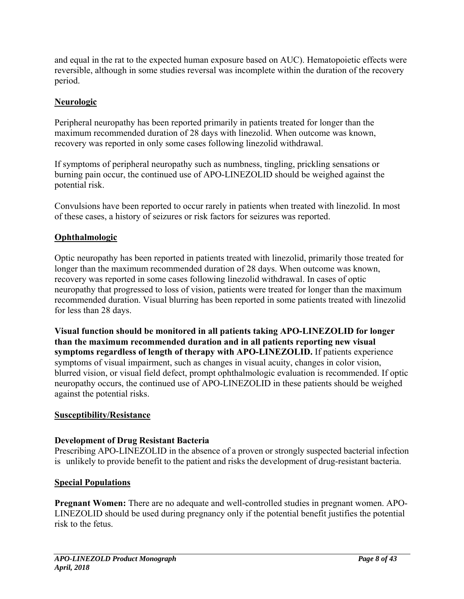and equal in the rat to the expected human exposure based on AUC). Hematopoietic effects were reversible, although in some studies reversal was incomplete within the duration of the recovery period.

# **Neurologic**

Peripheral neuropathy has been reported primarily in patients treated for longer than the maximum recommended duration of 28 days with linezolid. When outcome was known, recovery was reported in only some cases following linezolid withdrawal.

If symptoms of peripheral neuropathy such as numbness, tingling, prickling sensations or burning pain occur, the continued use of APO-LINEZOLID should be weighed against the potential risk.

Convulsions have been reported to occur rarely in patients when treated with linezolid. In most of these cases, a history of seizures or risk factors for seizures was reported.

# **Ophthalmologic**

Optic neuropathy has been reported in patients treated with linezolid, primarily those treated for longer than the maximum recommended duration of 28 days. When outcome was known, recovery was reported in some cases following linezolid withdrawal. In cases of optic neuropathy that progressed to loss of vision, patients were treated for longer than the maximum recommended duration. Visual blurring has been reported in some patients treated with linezolid for less than 28 days.

**Visual function should be monitored in all patients taking APO-LINEZOLID for longer than the maximum recommended duration and in all patients reporting new visual symptoms regardless of length of therapy with APO-LINEZOLID.** If patients experience symptoms of visual impairment, such as changes in visual acuity, changes in color vision, blurred vision, or visual field defect, prompt ophthalmologic evaluation is recommended. If optic neuropathy occurs, the continued use of APO-LINEZOLID in these patients should be weighed against the potential risks.

# **Susceptibility/Resistance**

# **Development of Drug Resistant Bacteria**

Prescribing APO-LINEZOLID in the absence of a proven or strongly suspected bacterial infection is unlikely to provide benefit to the patient and risks the development of drug-resistant bacteria.

# **Special Populations**

**Pregnant Women:** There are no adequate and well-controlled studies in pregnant women. APO-LINEZOLID should be used during pregnancy only if the potential benefit justifies the potential risk to the fetus.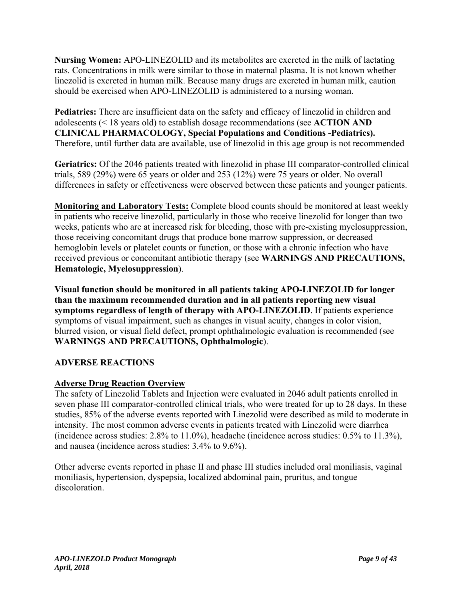**Nursing Women:** APO-LINEZOLID and its metabolites are excreted in the milk of lactating rats. Concentrations in milk were similar to those in maternal plasma. It is not known whether linezolid is excreted in human milk. Because many drugs are excreted in human milk, caution should be exercised when APO-LINEZOLID is administered to a nursing woman.

**Pediatrics:** There are insufficient data on the safety and efficacy of linezolid in children and adolescents (< 18 years old) to establish dosage recommendations (see **ACTION AND CLINICAL PHARMACOLOGY, Special Populations and Conditions -Pediatrics).**  Therefore, until further data are available, use of linezolid in this age group is not recommended

**Geriatrics:** Of the 2046 patients treated with linezolid in phase III comparator-controlled clinical trials, 589 (29%) were 65 years or older and 253 (12%) were 75 years or older. No overall differences in safety or effectiveness were observed between these patients and younger patients.

**Monitoring and Laboratory Tests:** Complete blood counts should be monitored at least weekly in patients who receive linezolid, particularly in those who receive linezolid for longer than two weeks, patients who are at increased risk for bleeding, those with pre-existing myelosuppression, those receiving concomitant drugs that produce bone marrow suppression, or decreased hemoglobin levels or platelet counts or function, or those with a chronic infection who have received previous or concomitant antibiotic therapy (see **WARNINGS AND PRECAUTIONS, Hematologic, Myelosuppression**).

**Visual function should be monitored in all patients taking APO-LINEZOLID for longer than the maximum recommended duration and in all patients reporting new visual symptoms regardless of length of therapy with APO-LINEZOLID**. If patients experience symptoms of visual impairment, such as changes in visual acuity, changes in color vision, blurred vision, or visual field defect, prompt ophthalmologic evaluation is recommended (see **WARNINGS AND PRECAUTIONS, Ophthalmologic**).

# **ADVERSE REACTIONS**

# **Adverse Drug Reaction Overview**

The safety of Linezolid Tablets and Injection were evaluated in 2046 adult patients enrolled in seven phase III comparator-controlled clinical trials, who were treated for up to 28 days. In these studies, 85% of the adverse events reported with Linezolid were described as mild to moderate in intensity. The most common adverse events in patients treated with Linezolid were diarrhea (incidence across studies: 2.8% to 11.0%), headache (incidence across studies: 0.5% to 11.3%), and nausea (incidence across studies: 3.4% to 9.6%).

Other adverse events reported in phase II and phase III studies included oral moniliasis, vaginal moniliasis, hypertension, dyspepsia, localized abdominal pain, pruritus, and tongue discoloration.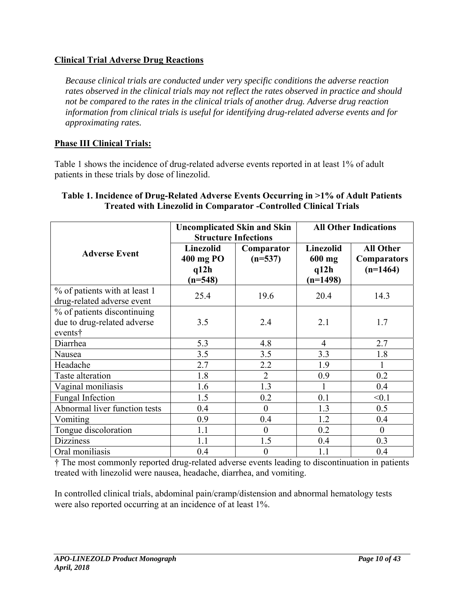# **Clinical Trial Adverse Drug Reactions**

*Because clinical trials are conducted under very specific conditions the adverse reaction rates observed in the clinical trials may not reflect the rates observed in practice and should not be compared to the rates in the clinical trials of another drug. Adverse drug reaction information from clinical trials is useful for identifying drug-related adverse events and for approximating rates.* 

## **Phase III Clinical Trials:**

Table 1 shows the incidence of drug-related adverse events reported in at least 1% of adult patients in these trials by dose of linezolid.

|                                                                       | <b>Uncomplicated Skin and Skin</b><br><b>Structure Infections</b> |                         | <b>All Other Indications</b>                |                                                      |
|-----------------------------------------------------------------------|-------------------------------------------------------------------|-------------------------|---------------------------------------------|------------------------------------------------------|
| <b>Adverse Event</b>                                                  | Linezolid<br>400 mg PO<br>q12h<br>$(n=548)$                       | Comparator<br>$(n=537)$ | Linezolid<br>$600$ mg<br>q12h<br>$(n=1498)$ | <b>All Other</b><br><b>Comparators</b><br>$(n=1464)$ |
| % of patients with at least 1<br>drug-related adverse event           | 25.4                                                              | 19.6                    | 20.4                                        | 14.3                                                 |
| % of patients discontinuing<br>due to drug-related adverse<br>events† | 3.5                                                               | 2.4                     | 2.1                                         | 1.7                                                  |
| Diarrhea                                                              | 5.3                                                               | 4.8                     | $\overline{4}$                              | 2.7                                                  |
| Nausea                                                                | 3.5                                                               | 3.5                     | 3.3                                         | 1.8                                                  |
| Headache                                                              | 2.7                                                               | 2.2                     | 1.9                                         | 1                                                    |
| Taste alteration                                                      | 1.8                                                               | $\overline{2}$          | 0.9                                         | 0.2                                                  |
| Vaginal moniliasis                                                    | 1.6                                                               | 1.3                     | 1                                           | 0.4                                                  |
| <b>Fungal Infection</b>                                               | 1.5                                                               | 0.2                     | 0.1                                         | < 0.1                                                |
| Abnormal liver function tests                                         | 0.4                                                               | $\theta$                | 1.3                                         | 0.5                                                  |
| Vomiting                                                              | 0.9                                                               | 0.4                     | 1.2                                         | 0.4                                                  |
| Tongue discoloration                                                  | 1.1                                                               | $\theta$                | 0.2                                         | $\theta$                                             |
| <b>Dizziness</b>                                                      | 1.1                                                               | 1.5                     | 0.4                                         | 0.3                                                  |
| Oral moniliasis                                                       | 0.4                                                               | $\theta$                | 1.1                                         | 0.4                                                  |

#### **Table 1. Incidence of Drug-Related Adverse Events Occurring in >1% of Adult Patients Treated with Linezolid in Comparator -Controlled Clinical Trials**

† The most commonly reported drug-related adverse events leading to discontinuation in patients treated with linezolid were nausea, headache, diarrhea, and vomiting.

In controlled clinical trials, abdominal pain/cramp/distension and abnormal hematology tests were also reported occurring at an incidence of at least 1%.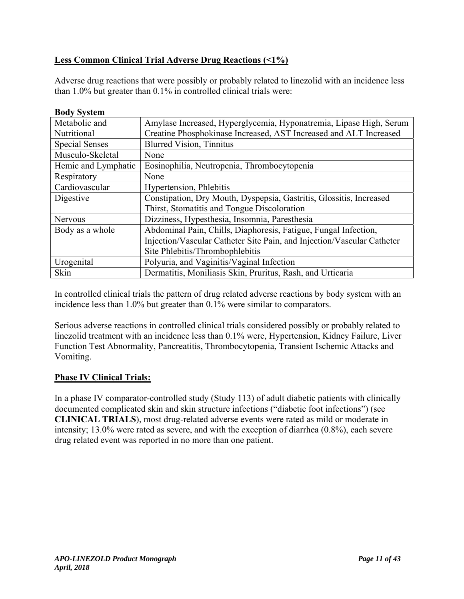# **Less Common Clinical Trial Adverse Drug Reactions (<1%)**

Adverse drug reactions that were possibly or probably related to linezolid with an incidence less than 1.0% but greater than 0.1% in controlled clinical trials were:

| DUUY SYSIEIII         |                                                                        |
|-----------------------|------------------------------------------------------------------------|
| Metabolic and         | Amylase Increased, Hyperglycemia, Hyponatremia, Lipase High, Serum     |
| Nutritional           | Creatine Phosphokinase Increased, AST Increased and ALT Increased      |
| <b>Special Senses</b> | <b>Blurred Vision, Tinnitus</b>                                        |
| Musculo-Skeletal      | None                                                                   |
| Hemic and Lymphatic   | Eosinophilia, Neutropenia, Thrombocytopenia                            |
| Respiratory           | None                                                                   |
| Cardiovascular        | <b>Hypertension</b> , Phlebitis                                        |
| Digestive             | Constipation, Dry Mouth, Dyspepsia, Gastritis, Glossitis, Increased    |
|                       | Thirst, Stomatitis and Tongue Discoloration                            |
| Nervous               | Dizziness, Hypesthesia, Insomnia, Paresthesia                          |
| Body as a whole       | Abdominal Pain, Chills, Diaphoresis, Fatigue, Fungal Infection,        |
|                       | Injection/Vascular Catheter Site Pain, and Injection/Vascular Catheter |
|                       | Site Phlebitis/Thrombophlebitis                                        |
| Urogenital            | Polyuria, and Vaginitis/Vaginal Infection                              |
| Skin                  | Dermatitis, Moniliasis Skin, Pruritus, Rash, and Urticaria             |

In controlled clinical trials the pattern of drug related adverse reactions by body system with an incidence less than 1.0% but greater than 0.1% were similar to comparators.

Serious adverse reactions in controlled clinical trials considered possibly or probably related to linezolid treatment with an incidence less than 0.1% were, Hypertension, Kidney Failure, Liver Function Test Abnormality, Pancreatitis, Thrombocytopenia, Transient Ischemic Attacks and Vomiting.

### **Phase IV Clinical Trials:**

**Body System** 

In a phase IV comparator-controlled study (Study 113) of adult diabetic patients with clinically documented complicated skin and skin structure infections ("diabetic foot infections") (see **CLINICAL TRIALS**), most drug-related adverse events were rated as mild or moderate in intensity; 13.0% were rated as severe, and with the exception of diarrhea (0.8%), each severe drug related event was reported in no more than one patient.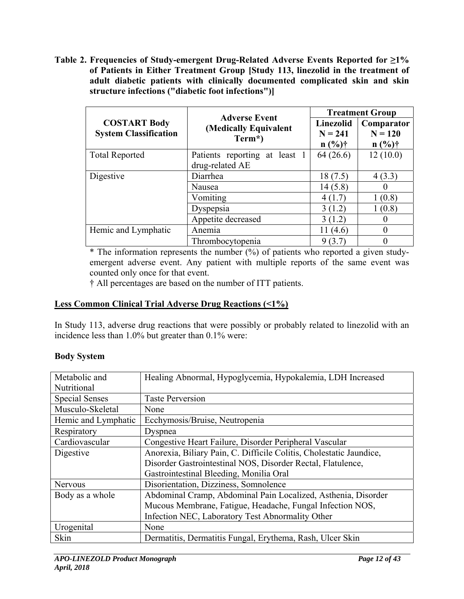**Table 2. Frequencies of Study-emergent Drug-Related Adverse Events Reported for ≥1% of Patients in Either Treatment Group [Study 113, linezolid in the treatment of adult diabetic patients with clinically documented complicated skin and skin structure infections ("diabetic foot infections")]** 

|                                                     | <b>Adverse Event</b>                             | <b>Treatment Group</b>                    |                                     |  |
|-----------------------------------------------------|--------------------------------------------------|-------------------------------------------|-------------------------------------|--|
| <b>COSTART Body</b><br><b>System Classification</b> | (Medically Equivalent<br>Term*)                  | <b>Linezolid</b><br>$N = 241$<br>$n (%)\$ | Comparator<br>$N = 120$<br>$n (%)*$ |  |
| <b>Total Reported</b>                               | Patients reporting at least 1<br>drug-related AE | 64 (26.6)                                 | 12(10.0)                            |  |
| Digestive                                           | Diarrhea                                         | 18(7.5)                                   | 4(3.3)                              |  |
|                                                     | Nausea                                           | 14(5.8)                                   | $\theta$                            |  |
|                                                     | Vomiting                                         | 4(1.7)                                    | 1(0.8)                              |  |
|                                                     | Dyspepsia                                        | 3(1.2)                                    | 1(0.8)                              |  |
|                                                     | Appetite decreased                               | 3(1.2)                                    | $\theta$                            |  |
| Hemic and Lymphatic                                 | Anemia                                           | 11 (4.6)                                  | $\theta$                            |  |
|                                                     | Thrombocytopenia                                 | 9(3.7)                                    | 0                                   |  |

 $*$  The information represents the number  $(\%)$  of patients who reported a given studyemergent adverse event. Any patient with multiple reports of the same event was counted only once for that event.

† All percentages are based on the number of ITT patients.

## **Less Common Clinical Trial Adverse Drug Reactions (<1%)**

In Study 113, adverse drug reactions that were possibly or probably related to linezolid with an incidence less than 1.0% but greater than 0.1% were:

### **Body System**

| Metabolic and         | Healing Abnormal, Hypoglycemia, Hypokalemia, LDH Increased          |
|-----------------------|---------------------------------------------------------------------|
| Nutritional           |                                                                     |
| <b>Special Senses</b> | <b>Taste Perversion</b>                                             |
| Musculo-Skeletal      | None                                                                |
| Hemic and Lymphatic   | Ecchymosis/Bruise, Neutropenia                                      |
| Respiratory           | Dyspnea                                                             |
| Cardiovascular        | Congestive Heart Failure, Disorder Peripheral Vascular              |
| Digestive             | Anorexia, Biliary Pain, C. Difficile Colitis, Cholestatic Jaundice, |
|                       | Disorder Gastrointestinal NOS, Disorder Rectal, Flatulence,         |
|                       | Gastrointestinal Bleeding, Monilia Oral                             |
| Nervous               | Disorientation, Dizziness, Somnolence                               |
| Body as a whole       | Abdominal Cramp, Abdominal Pain Localized, Asthenia, Disorder       |
|                       | Mucous Membrane, Fatigue, Headache, Fungal Infection NOS,           |
|                       | Infection NEC, Laboratory Test Abnormality Other                    |
| Urogenital            | None                                                                |
| Skin                  | Dermatitis, Dermatitis Fungal, Erythema, Rash, Ulcer Skin           |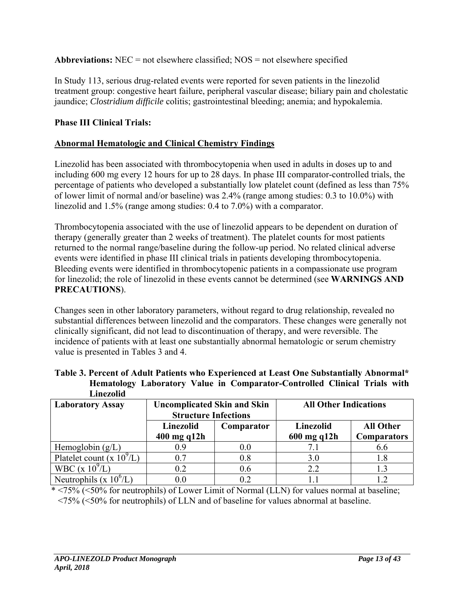**Abbreviations:** NEC = not elsewhere classified; NOS = not elsewhere specified

In Study 113, serious drug-related events were reported for seven patients in the linezolid treatment group: congestive heart failure, peripheral vascular disease; biliary pain and cholestatic jaundice; *Clostridium difficile* colitis; gastrointestinal bleeding; anemia; and hypokalemia.

# **Phase III Clinical Trials:**

## **Abnormal Hematologic and Clinical Chemistry Findings**

Linezolid has been associated with thrombocytopenia when used in adults in doses up to and including 600 mg every 12 hours for up to 28 days. In phase III comparator-controlled trials, the percentage of patients who developed a substantially low platelet count (defined as less than 75% of lower limit of normal and/or baseline) was 2.4% (range among studies: 0.3 to 10.0%) with linezolid and 1.5% (range among studies: 0.4 to 7.0%) with a comparator.

Thrombocytopenia associated with the use of linezolid appears to be dependent on duration of therapy (generally greater than 2 weeks of treatment). The platelet counts for most patients returned to the normal range/baseline during the follow-up period. No related clinical adverse events were identified in phase III clinical trials in patients developing thrombocytopenia. Bleeding events were identified in thrombocytopenic patients in a compassionate use program for linezolid; the role of linezolid in these events cannot be determined (see **WARNINGS AND PRECAUTIONS**).

Changes seen in other laboratory parameters, without regard to drug relationship, revealed no substantial differences between linezolid and the comparators. These changes were generally not clinically significant, did not lead to discontinuation of therapy, and were reversible. The incidence of patients with at least one substantially abnormal hematologic or serum chemistry value is presented in Tables 3 and 4.

|                         |                                    |            | Hematology Laboratory Value in Comparator-Controlled Clinical Trials with |                  |
|-------------------------|------------------------------------|------------|---------------------------------------------------------------------------|------------------|
| Linezolid               |                                    |            |                                                                           |                  |
| <b>Laboratory Assay</b> | <b>Uncomplicated Skin and Skin</b> |            | <b>All Other Indications</b>                                              |                  |
|                         | <b>Structure Infections</b>        |            |                                                                           |                  |
|                         | Linezolid                          | Comparator | Linezolid                                                                 | <b>All Other</b> |

 $(L)$  0.7 0.8 3.0 1.8

 $(L)$  0.0  $0.2$  1.1 1.2

 $(L)$  0.2  $0.6$  2.2  $1.3$ 

**600 mg q12h** 

|           |  | Table 3. Percent of Adult Patients who Experienced at Least One Substantially Abnormal* |  |  |
|-----------|--|-----------------------------------------------------------------------------------------|--|--|
|           |  | Hematology Laboratory Value in Comparator-Controlled Clinical Trials with               |  |  |
| Linezolid |  |                                                                                         |  |  |

| * <75% (<50% for neutrophils) of Lower Limit of Normal (LLN) for values normal at baseline;              |  |
|----------------------------------------------------------------------------------------------------------|--|
| $\langle 75\%$ ( $\langle 50\%$ for neutrophils) of LLN and of baseline for values abnormal at baseline. |  |

Hemoglobin (g/L) 0.9 0.0 7.1 6.6

**400 mg q12h** 

Platelet count (x  $10^9$ /L)

Neutrophils (x  $10^{6}/L$ )

WBC (x  $10^{9}$ /L)

**Comparators**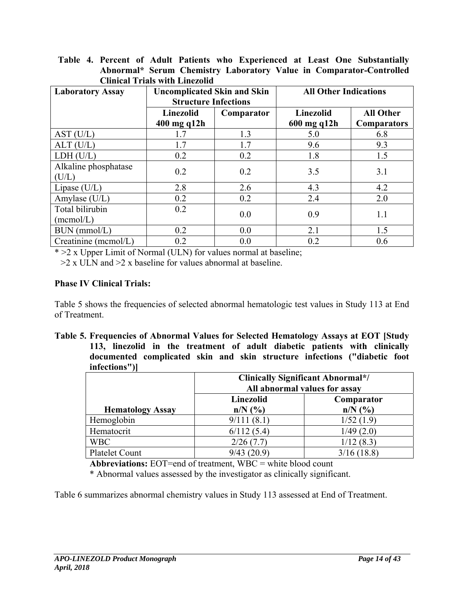| <b>Clinical Trials with Linezolid</b> |                                                                   |            |                              |                    |
|---------------------------------------|-------------------------------------------------------------------|------------|------------------------------|--------------------|
| <b>Laboratory Assay</b>               | <b>Uncomplicated Skin and Skin</b><br><b>Structure Infections</b> |            | <b>All Other Indications</b> |                    |
|                                       | Linezolid                                                         | Comparator | <b>Linezolid</b>             | <b>All Other</b>   |
|                                       | $400$ mg q $12h$                                                  |            | 600 mg q12h                  | <b>Comparators</b> |
| AST (U/L)                             | 1.7                                                               | 1.3        | 5.0                          | 6.8                |
| $ALT$ (U/L)                           | 1.7                                                               | 1.7        | 9.6                          | 9.3                |
| LDH (U/L)                             | 0.2                                                               | 0.2        | 1.8                          | 1.5                |
| Alkaline phosphatase<br>(U/L)         | 0.2                                                               | 0.2        | 3.5                          | 3.1                |
| Lipase $(U/L)$                        | 2.8                                                               | 2.6        | 4.3                          | 4.2                |
| Amylase $(U/L)$                       | 0.2                                                               | 0.2        | 2.4                          | 2.0                |
| Total bilirubin<br>(mcmol/L)          | 0.2                                                               | 0.0        | 0.9                          | 1.1                |
| $BUN$ (mmol/L)                        | 0.2                                                               | 0.0        | 2.1                          | 1.5                |
| $C$ reatinine (mcmol/L)               | 0.2                                                               | 0.0        | 0.2                          | 0.6                |

**Table 4. Percent of Adult Patients who Experienced at Least One Substantially Abnormal\* Serum Chemistry Laboratory Value in Comparator-Controlled** 

\* >2 x Upper Limit of Normal (ULN) for values normal at baseline;

 $>2 \times 11$  M and  $>2 \times 2$  baseline for values abnormal at baseline.

### **Phase IV Clinical Trials:**

Table 5 shows the frequencies of selected abnormal hematologic test values in Study 113 at End of Treatment.

**Table 5. Frequencies of Abnormal Values for Selected Hematology Assays at EOT [Study 113, linezolid in the treatment of adult diabetic patients with clinically documented complicated skin and skin structure infections ("diabetic foot infections")]** 

|                         | <b>Clinically Significant Abnormal*/</b><br>All abnormal values for assay |                           |  |  |  |
|-------------------------|---------------------------------------------------------------------------|---------------------------|--|--|--|
| <b>Hematology Assay</b> | Linezolid<br>$n/N$ $\left(\frac{9}{6}\right)$                             | Comparator<br>$n/N$ $(\%$ |  |  |  |
| Hemoglobin              | 9/111(8.1)                                                                | 1/52(1.9)                 |  |  |  |
| Hematocrit              | 6/112(5.4)                                                                | 1/49(2.0)                 |  |  |  |
| <b>WBC</b>              | 2/26(7.7)                                                                 | 1/12(8.3)                 |  |  |  |
| <b>Platelet Count</b>   | 9/43(20.9)                                                                | 3/16(18.8)                |  |  |  |

**Abbreviations:** EOT=end of treatment, WBC = white blood count

\* Abnormal values assessed by the investigator as clinically significant.

Table 6 summarizes abnormal chemistry values in Study 113 assessed at End of Treatment.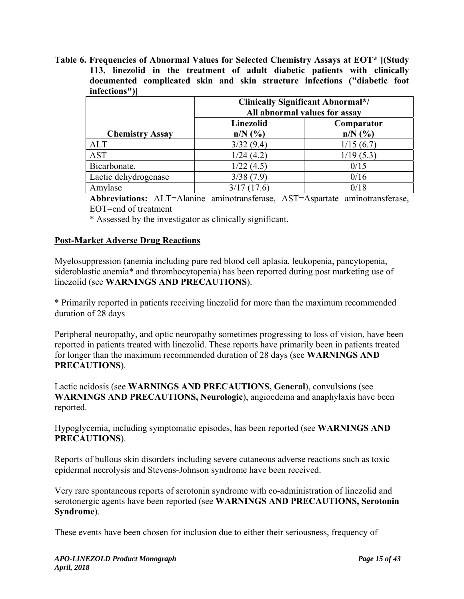**Table 6. Frequencies of Abnormal Values for Selected Chemistry Assays at EOT\* [(Study 113, linezolid in the treatment of adult diabetic patients with clinically documented complicated skin and skin structure infections ("diabetic foot infections")]** 

|                        | <b>Clinically Significant Abnormal*/</b><br>All abnormal values for assay<br>Linezolid<br>Comparator |             |  |  |  |
|------------------------|------------------------------------------------------------------------------------------------------|-------------|--|--|--|
|                        |                                                                                                      |             |  |  |  |
| <b>Chemistry Assay</b> | $n/N$ $(\%$                                                                                          | $n/N$ $(\%$ |  |  |  |
| ALT                    | 3/32(9.4)                                                                                            | 1/15(6.7)   |  |  |  |
| <b>AST</b>             | 1/24(4.2)                                                                                            | 1/19(5.3)   |  |  |  |
| Bicarbonate.           | 1/22(4.5)                                                                                            | 0/15        |  |  |  |
| Lactic dehydrogenase   | 3/38(7.9)                                                                                            | 0/16        |  |  |  |
| Amylase                | 3/17(17.6)                                                                                           | 0/18        |  |  |  |

**Abbreviations:** ALT=Alanine aminotransferase, AST=Aspartate aminotransferase, EOT=end of treatment

\* Assessed by the investigator as clinically significant.

# **Post-Market Adverse Drug Reactions**

Myelosuppression (anemia including pure red blood cell aplasia, leukopenia, pancytopenia, sideroblastic anemia\* and thrombocytopenia) has been reported during post marketing use of linezolid (see **WARNINGS AND PRECAUTIONS**).

\* Primarily reported in patients receiving linezolid for more than the maximum recommended duration of 28 days

Peripheral neuropathy, and optic neuropathy sometimes progressing to loss of vision, have been reported in patients treated with linezolid. These reports have primarily been in patients treated for longer than the maximum recommended duration of 28 days (see **WARNINGS AND PRECAUTIONS**).

Lactic acidosis (see **WARNINGS AND PRECAUTIONS, General**), convulsions (see **WARNINGS AND PRECAUTIONS, Neurologic**), angioedema and anaphylaxis have been reported.

Hypoglycemia, including symptomatic episodes, has been reported (see **WARNINGS AND PRECAUTIONS**).

Reports of bullous skin disorders including severe cutaneous adverse reactions such as toxic epidermal necrolysis and Stevens-Johnson syndrome have been received.

Very rare spontaneous reports of serotonin syndrome with co-administration of linezolid and serotonergic agents have been reported (see **WARNINGS AND PRECAUTIONS, Serotonin Syndrome**).

These events have been chosen for inclusion due to either their seriousness, frequency of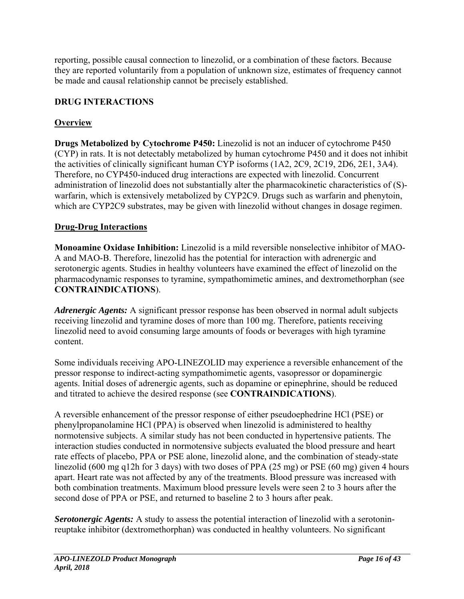reporting, possible causal connection to linezolid, or a combination of these factors. Because they are reported voluntarily from a population of unknown size, estimates of frequency cannot be made and causal relationship cannot be precisely established.

# **DRUG INTERACTIONS**

# **Overview**

**Drugs Metabolized by Cytochrome P450:** Linezolid is not an inducer of cytochrome P450 (CYP) in rats. It is not detectably metabolized by human cytochrome P450 and it does not inhibit the activities of clinically significant human CYP isoforms (1A2, 2C9, 2C19, 2D6, 2E1, 3A4). Therefore, no CYP450-induced drug interactions are expected with linezolid. Concurrent administration of linezolid does not substantially alter the pharmacokinetic characteristics of (S) warfarin, which is extensively metabolized by CYP2C9. Drugs such as warfarin and phenytoin, which are CYP2C9 substrates, may be given with linezolid without changes in dosage regimen.

# **Drug-Drug Interactions**

**Monoamine Oxidase Inhibition:** Linezolid is a mild reversible nonselective inhibitor of MAO-A and MAO-B. Therefore, linezolid has the potential for interaction with adrenergic and serotonergic agents. Studies in healthy volunteers have examined the effect of linezolid on the pharmacodynamic responses to tyramine, sympathomimetic amines, and dextromethorphan (see **CONTRAINDICATIONS**).

*Adrenergic Agents:* A significant pressor response has been observed in normal adult subjects receiving linezolid and tyramine doses of more than 100 mg. Therefore, patients receiving linezolid need to avoid consuming large amounts of foods or beverages with high tyramine content.

Some individuals receiving APO-LINEZOLID may experience a reversible enhancement of the pressor response to indirect-acting sympathomimetic agents, vasopressor or dopaminergic agents. Initial doses of adrenergic agents, such as dopamine or epinephrine, should be reduced and titrated to achieve the desired response (see **CONTRAINDICATIONS**).

A reversible enhancement of the pressor response of either pseudoephedrine HCl (PSE) or phenylpropanolamine HCl (PPA) is observed when linezolid is administered to healthy normotensive subjects. A similar study has not been conducted in hypertensive patients. The interaction studies conducted in normotensive subjects evaluated the blood pressure and heart rate effects of placebo, PPA or PSE alone, linezolid alone, and the combination of steady-state linezolid (600 mg q12h for 3 days) with two doses of PPA (25 mg) or PSE (60 mg) given 4 hours apart. Heart rate was not affected by any of the treatments. Blood pressure was increased with both combination treatments. Maximum blood pressure levels were seen 2 to 3 hours after the second dose of PPA or PSE, and returned to baseline 2 to 3 hours after peak.

*Serotonergic Agents:* A study to assess the potential interaction of linezolid with a serotoninreuptake inhibitor (dextromethorphan) was conducted in healthy volunteers. No significant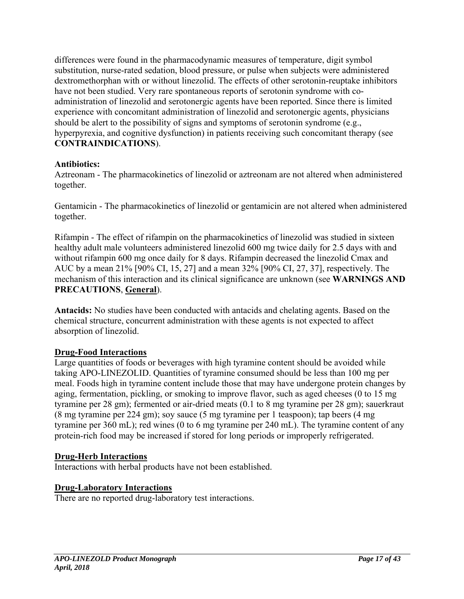differences were found in the pharmacodynamic measures of temperature, digit symbol substitution, nurse-rated sedation, blood pressure, or pulse when subjects were administered dextromethorphan with or without linezolid. The effects of other serotonin-reuptake inhibitors have not been studied. Very rare spontaneous reports of serotonin syndrome with coadministration of linezolid and serotonergic agents have been reported. Since there is limited experience with concomitant administration of linezolid and serotonergic agents, physicians should be alert to the possibility of signs and symptoms of serotonin syndrome (e.g., hyperpyrexia, and cognitive dysfunction) in patients receiving such concomitant therapy (see **CONTRAINDICATIONS**).

## **Antibiotics:**

Aztreonam - The pharmacokinetics of linezolid or aztreonam are not altered when administered together.

Gentamicin - The pharmacokinetics of linezolid or gentamicin are not altered when administered together.

Rifampin - The effect of rifampin on the pharmacokinetics of linezolid was studied in sixteen healthy adult male volunteers administered linezolid 600 mg twice daily for 2.5 days with and without rifampin 600 mg once daily for 8 days. Rifampin decreased the linezolid Cmax and AUC by a mean 21% [90% CI, 15, 27] and a mean 32% [90% CI, 27, 37], respectively. The mechanism of this interaction and its clinical significance are unknown (see **WARNINGS AND PRECAUTIONS**, **General**).

**Antacids:** No studies have been conducted with antacids and chelating agents. Based on the chemical structure, concurrent administration with these agents is not expected to affect absorption of linezolid.

# **Drug-Food Interactions**

Large quantities of foods or beverages with high tyramine content should be avoided while taking APO-LINEZOLID. Quantities of tyramine consumed should be less than 100 mg per meal. Foods high in tyramine content include those that may have undergone protein changes by aging, fermentation, pickling, or smoking to improve flavor, such as aged cheeses (0 to 15 mg tyramine per 28 gm); fermented or air-dried meats (0.1 to 8 mg tyramine per 28 gm); sauerkraut (8 mg tyramine per 224 gm); soy sauce (5 mg tyramine per 1 teaspoon); tap beers (4 mg tyramine per 360 mL); red wines (0 to 6 mg tyramine per 240 mL). The tyramine content of any protein-rich food may be increased if stored for long periods or improperly refrigerated.

### **Drug-Herb Interactions**

Interactions with herbal products have not been established.

# **Drug-Laboratory Interactions**

There are no reported drug-laboratory test interactions.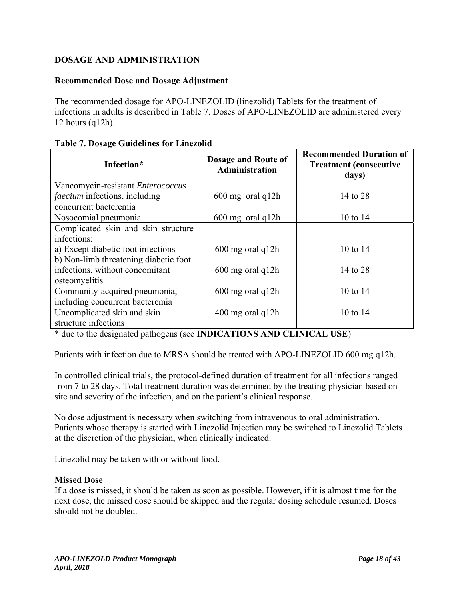# **DOSAGE AND ADMINISTRATION**

## **Recommended Dose and Dosage Adjustment**

The recommended dosage for APO-LINEZOLID (linezolid) Tablets for the treatment of infections in adults is described in Table 7. Doses of APO-LINEZOLID are administered every 12 hours (q12h).

| Infection*                            | Dosage and Route of<br>Administration | <b>Recommended Duration of</b><br><b>Treatment (consecutive)</b><br>days) |
|---------------------------------------|---------------------------------------|---------------------------------------------------------------------------|
| Vancomycin-resistant Enterococcus     |                                       |                                                                           |
| <i>faecium</i> infections, including  | $600 \text{ mg}$ oral q12h            | 14 to 28                                                                  |
| concurrent bacteremia                 |                                       |                                                                           |
| Nosocomial pneumonia                  | $600 \text{ mg}$ oral q12h            | 10 to 14                                                                  |
| Complicated skin and skin structure   |                                       |                                                                           |
| infections:                           |                                       |                                                                           |
| a) Except diabetic foot infections    | 600 mg oral q12h                      | 10 to 14                                                                  |
| b) Non-limb threatening diabetic foot |                                       |                                                                           |
| infections, without concomitant       | $600$ mg oral q $12h$                 | 14 to 28                                                                  |
| osteomyelitis                         |                                       |                                                                           |
| Community-acquired pneumonia,         | $600$ mg oral q $12h$                 | 10 to 14                                                                  |
| including concurrent bacteremia       |                                       |                                                                           |
| Uncomplicated skin and skin           | 400 mg oral q12h                      | 10 to 14                                                                  |
| structure infections                  |                                       |                                                                           |

#### **Table 7. Dosage Guidelines for Linezolid**

\* due to the designated pathogens (see **INDICATIONS AND CLINICAL USE**)

Patients with infection due to MRSA should be treated with APO-LINEZOLID 600 mg q12h.

In controlled clinical trials, the protocol-defined duration of treatment for all infections ranged from 7 to 28 days. Total treatment duration was determined by the treating physician based on site and severity of the infection, and on the patient's clinical response.

No dose adjustment is necessary when switching from intravenous to oral administration. Patients whose therapy is started with Linezolid Injection may be switched to Linezolid Tablets at the discretion of the physician, when clinically indicated.

Linezolid may be taken with or without food.

### **Missed Dose**

If a dose is missed, it should be taken as soon as possible. However, if it is almost time for the next dose, the missed dose should be skipped and the regular dosing schedule resumed. Doses should not be doubled.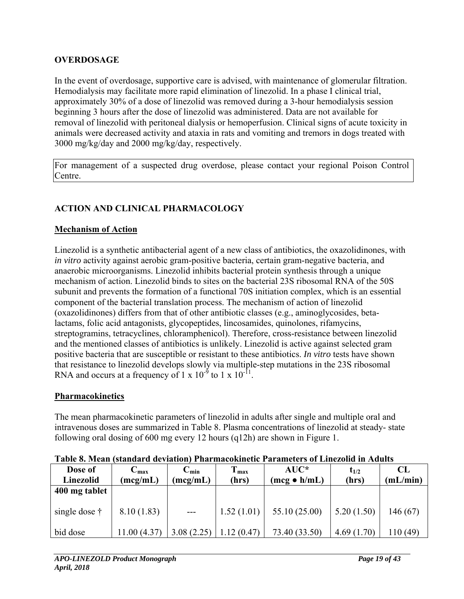# **OVERDOSAGE**

In the event of overdosage, supportive care is advised, with maintenance of glomerular filtration. Hemodialysis may facilitate more rapid elimination of linezolid. In a phase I clinical trial, approximately 30% of a dose of linezolid was removed during a 3-hour hemodialysis session beginning 3 hours after the dose of linezolid was administered. Data are not available for removal of linezolid with peritoneal dialysis or hemoperfusion. Clinical signs of acute toxicity in animals were decreased activity and ataxia in rats and vomiting and tremors in dogs treated with 3000 mg/kg/day and 2000 mg/kg/day, respectively.

For management of a suspected drug overdose, please contact your regional Poison Control Centre.

# **ACTION AND CLINICAL PHARMACOLOGY**

## **Mechanism of Action**

Linezolid is a synthetic antibacterial agent of a new class of antibiotics, the oxazolidinones, with *in vitro* activity against aerobic gram-positive bacteria, certain gram-negative bacteria, and anaerobic microorganisms. Linezolid inhibits bacterial protein synthesis through a unique mechanism of action. Linezolid binds to sites on the bacterial 23S ribosomal RNA of the 50S subunit and prevents the formation of a functional 70S initiation complex, which is an essential component of the bacterial translation process. The mechanism of action of linezolid (oxazolidinones) differs from that of other antibiotic classes (e.g., aminoglycosides, betalactams, folic acid antagonists, glycopeptides, lincosamides, quinolones, rifamycins, streptogramins, tetracyclines, chloramphenicol). Therefore, cross-resistance between linezolid and the mentioned classes of antibiotics is unlikely. Linezolid is active against selected gram positive bacteria that are susceptible or resistant to these antibiotics. *In vitro* tests have shown that resistance to linezolid develops slowly via multiple-step mutations in the 23S ribosomal RNA and occurs at a frequency of 1 x  $10^{-9}$  to 1 x  $10^{-11}$ .

# **Pharmacokinetics**

The mean pharmacokinetic parameters of linezolid in adults after single and multiple oral and intravenous doses are summarized in Table 8. Plasma concentrations of linezolid at steady- state following oral dosing of 600 mg every 12 hours (q12h) are shown in Figure 1.

| Dose of<br>Linezolid  | $-$ max<br>(mcg/mL) | $C_{min}$<br>(mcg/mL) | $T_{\text{max}}$<br>(hrs) | $AUC^*$<br>$(mcg \bullet h/mL)$ | $t_{1/2}$<br>(hrs) | CL<br>(mL/min) |
|-----------------------|---------------------|-----------------------|---------------------------|---------------------------------|--------------------|----------------|
| 400 mg tablet         |                     |                       |                           |                                 |                    |                |
| single dose $\dagger$ | 8.10(1.83)          | $---$                 | 1.52(1.01)                | 55.10 (25.00)                   | 5.20(1.50)         | 146 (67)       |
| bid dose              | 1.00 (4.37)         | 3.08(2.25)            | 2(0.47)                   | 73.40 (33.50)                   | 4.69(1.70)         | 110 (49)       |

**Table 8. Mean (standard deviation) Pharmacokinetic Parameters of Linezolid in Adults**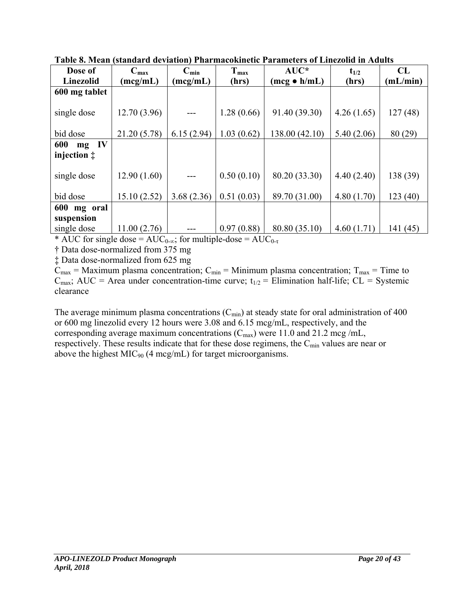| Dose of              | $C_{\text{max}}$ | $C_{min}$  | $T_{max}$  | $AUC^*$              | $t_{1/2}$  | CL       |
|----------------------|------------------|------------|------------|----------------------|------------|----------|
| <b>Linezolid</b>     | (mcg/mL)         | (mcg/mL)   | (hrs)      | $(mcg \bullet h/mL)$ | (hrs)      | (mL/min) |
| 600 mg tablet        |                  |            |            |                      |            |          |
|                      |                  |            |            |                      |            |          |
| single dose          | 12.70(3.96)      |            | 1.28(0.66) | 91.40 (39.30)        | 4.26(1.65) | 127(48)  |
|                      |                  |            |            |                      |            |          |
| bid dose             | 21.20 (5.78)     | 6.15(2.94) | 1.03(0.62) | 138.00 (42.10)       | 5.40(2.06) | 80 (29)  |
| 600<br>IV<br>mg      |                  |            |            |                      |            |          |
| injection $\ddagger$ |                  |            |            |                      |            |          |
|                      |                  |            |            |                      |            |          |
| single dose          | 12.90(1.60)      |            | 0.50(0.10) | 80.20 (33.30)        | 4.40(2.40) | 138 (39) |
|                      |                  |            |            |                      |            |          |
| bid dose             | 15.10(2.52)      | 3.68(2.36) | 0.51(0.03) | 89.70 (31.00)        | 4.80(1.70) | 123(40)  |
| 600<br>mg oral       |                  |            |            |                      |            |          |
| suspension           |                  |            |            |                      |            |          |
| single dose          | 11.00(2.76)      |            | 0.97(0.88) | 80.80 (35.10)        | 4.60(1.71) | 141(45)  |

**Table 8. Mean (standard deviation) Pharmacokinetic Parameters of Linezolid in Adults** 

\* AUC for single dose =  $AUC_{0-\infty}$ ; for multiple-dose =  $AUC_{0-\tau}$ 

† Data dose-normalized from 375 mg

‡ Data dose-normalized from 625 mg

 $C_{\text{max}}$  = Maximum plasma concentration;  $C_{\text{min}}$  = Minimum plasma concentration;  $T_{\text{max}}$  = Time to  $C_{\text{max}}$ ; AUC = Area under concentration-time curve;  $t_{1/2}$  = Elimination half-life; CL = Systemic clearance

The average minimum plasma concentrations  $(C_{min})$  at steady state for oral administration of 400 or 600 mg linezolid every 12 hours were 3.08 and 6.15 mcg/mL, respectively, and the corresponding average maximum concentrations  $(C_{\text{max}})$  were 11.0 and 21.2 mcg/mL, respectively. These results indicate that for these dose regimens, the C<sub>min</sub> values are near or above the highest  $MIC<sub>90</sub>$  (4 mcg/mL) for target microorganisms.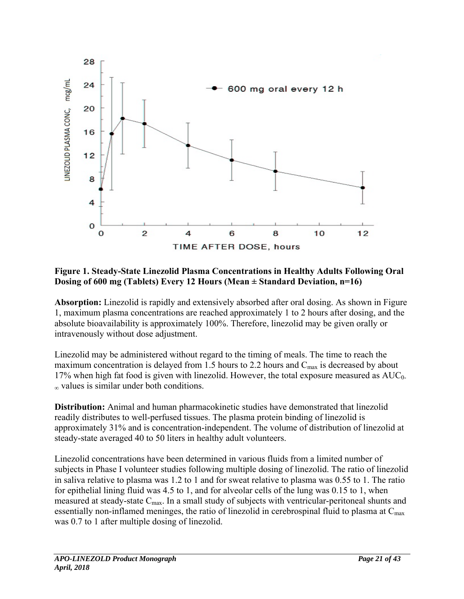

### **Figure 1. Steady-State Linezolid Plasma Concentrations in Healthy Adults Following Oral Dosing of 600 mg (Tablets) Every 12 Hours (Mean ± Standard Deviation, n=16)**

**Absorption:** Linezolid is rapidly and extensively absorbed after oral dosing. As shown in Figure 1, maximum plasma concentrations are reached approximately 1 to 2 hours after dosing, and the absolute bioavailability is approximately 100%. Therefore, linezolid may be given orally or intravenously without dose adjustment.

Linezolid may be administered without regard to the timing of meals. The time to reach the maximum concentration is delayed from 1.5 hours to 2.2 hours and  $C_{\text{max}}$  is decreased by about 17% when high fat food is given with linezolid. However, the total exposure measured as  $AUC_0$ -<sup>∞</sup> values is similar under both conditions.

**Distribution:** Animal and human pharmacokinetic studies have demonstrated that linezolid readily distributes to well-perfused tissues. The plasma protein binding of linezolid is approximately 31% and is concentration-independent. The volume of distribution of linezolid at steady-state averaged 40 to 50 liters in healthy adult volunteers.

Linezolid concentrations have been determined in various fluids from a limited number of subjects in Phase I volunteer studies following multiple dosing of linezolid. The ratio of linezolid in saliva relative to plasma was 1.2 to 1 and for sweat relative to plasma was 0.55 to 1. The ratio for epithelial lining fluid was 4.5 to 1, and for alveolar cells of the lung was 0.15 to 1, when measured at steady-state  $C_{\text{max}}$ . In a small study of subjects with ventricular-peritoneal shunts and essentially non-inflamed meninges, the ratio of linezolid in cerebrospinal fluid to plasma at  $C_{\text{max}}$ was 0.7 to 1 after multiple dosing of linezolid.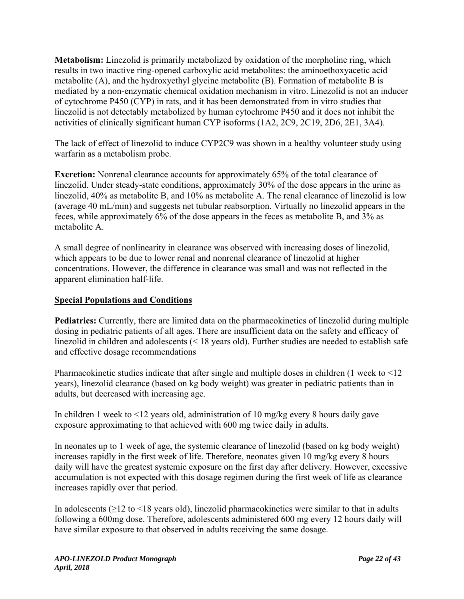**Metabolism:** Linezolid is primarily metabolized by oxidation of the morpholine ring, which results in two inactive ring-opened carboxylic acid metabolites: the aminoethoxyacetic acid metabolite (A), and the hydroxyethyl glycine metabolite (B). Formation of metabolite B is mediated by a non-enzymatic chemical oxidation mechanism in vitro. Linezolid is not an inducer of cytochrome P450 (CYP) in rats, and it has been demonstrated from in vitro studies that linezolid is not detectably metabolized by human cytochrome P450 and it does not inhibit the activities of clinically significant human CYP isoforms (1A2, 2C9, 2C19, 2D6, 2E1, 3A4).

The lack of effect of linezolid to induce CYP2C9 was shown in a healthy volunteer study using warfarin as a metabolism probe.

**Excretion:** Nonrenal clearance accounts for approximately 65% of the total clearance of linezolid. Under steady-state conditions, approximately 30% of the dose appears in the urine as linezolid, 40% as metabolite B, and 10% as metabolite A. The renal clearance of linezolid is low (average 40 mL/min) and suggests net tubular reabsorption. Virtually no linezolid appears in the feces, while approximately 6% of the dose appears in the feces as metabolite B, and 3% as metabolite A.

A small degree of nonlinearity in clearance was observed with increasing doses of linezolid, which appears to be due to lower renal and nonrenal clearance of linezolid at higher concentrations. However, the difference in clearance was small and was not reflected in the apparent elimination half-life.

# **Special Populations and Conditions**

**Pediatrics:** Currently, there are limited data on the pharmacokinetics of linezolid during multiple dosing in pediatric patients of all ages. There are insufficient data on the safety and efficacy of linezolid in children and adolescents (< 18 years old). Further studies are needed to establish safe and effective dosage recommendations

Pharmacokinetic studies indicate that after single and multiple doses in children (1 week to <12 years), linezolid clearance (based on kg body weight) was greater in pediatric patients than in adults, but decreased with increasing age.

In children 1 week to <12 years old, administration of 10 mg/kg every 8 hours daily gave exposure approximating to that achieved with 600 mg twice daily in adults.

In neonates up to 1 week of age, the systemic clearance of linezolid (based on kg body weight) increases rapidly in the first week of life. Therefore, neonates given 10 mg/kg every 8 hours daily will have the greatest systemic exposure on the first day after delivery. However, excessive accumulation is not expected with this dosage regimen during the first week of life as clearance increases rapidly over that period.

In adolescents  $(≥12$  to  $≤18$  years old), linezolid pharmacokinetics were similar to that in adults following a 600mg dose. Therefore, adolescents administered 600 mg every 12 hours daily will have similar exposure to that observed in adults receiving the same dosage.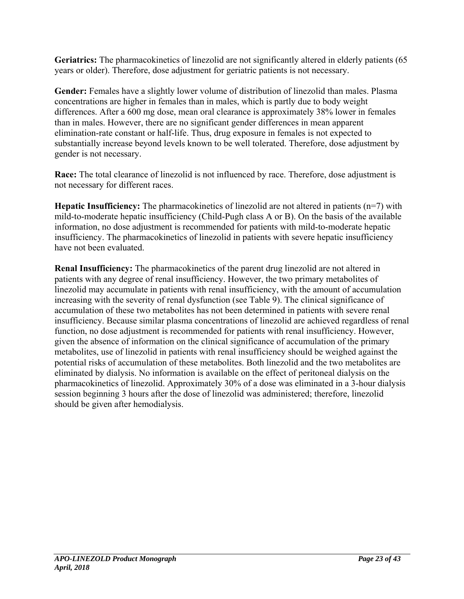**Geriatrics:** The pharmacokinetics of linezolid are not significantly altered in elderly patients (65 years or older). Therefore, dose adjustment for geriatric patients is not necessary.

**Gender:** Females have a slightly lower volume of distribution of linezolid than males. Plasma concentrations are higher in females than in males, which is partly due to body weight differences. After a 600 mg dose, mean oral clearance is approximately 38% lower in females than in males. However, there are no significant gender differences in mean apparent elimination-rate constant or half-life. Thus, drug exposure in females is not expected to substantially increase beyond levels known to be well tolerated. Therefore, dose adjustment by gender is not necessary.

**Race:** The total clearance of linezolid is not influenced by race. Therefore, dose adjustment is not necessary for different races.

**Hepatic Insufficiency:** The pharmacokinetics of linezolid are not altered in patients (n=7) with mild-to-moderate hepatic insufficiency (Child-Pugh class A or B). On the basis of the available information, no dose adjustment is recommended for patients with mild-to-moderate hepatic insufficiency. The pharmacokinetics of linezolid in patients with severe hepatic insufficiency have not been evaluated.

**Renal Insufficiency:** The pharmacokinetics of the parent drug linezolid are not altered in patients with any degree of renal insufficiency. However, the two primary metabolites of linezolid may accumulate in patients with renal insufficiency, with the amount of accumulation increasing with the severity of renal dysfunction (see Table 9). The clinical significance of accumulation of these two metabolites has not been determined in patients with severe renal insufficiency. Because similar plasma concentrations of linezolid are achieved regardless of renal function, no dose adjustment is recommended for patients with renal insufficiency. However, given the absence of information on the clinical significance of accumulation of the primary metabolites, use of linezolid in patients with renal insufficiency should be weighed against the potential risks of accumulation of these metabolites. Both linezolid and the two metabolites are eliminated by dialysis. No information is available on the effect of peritoneal dialysis on the pharmacokinetics of linezolid. Approximately 30% of a dose was eliminated in a 3-hour dialysis session beginning 3 hours after the dose of linezolid was administered; therefore, linezolid should be given after hemodialysis.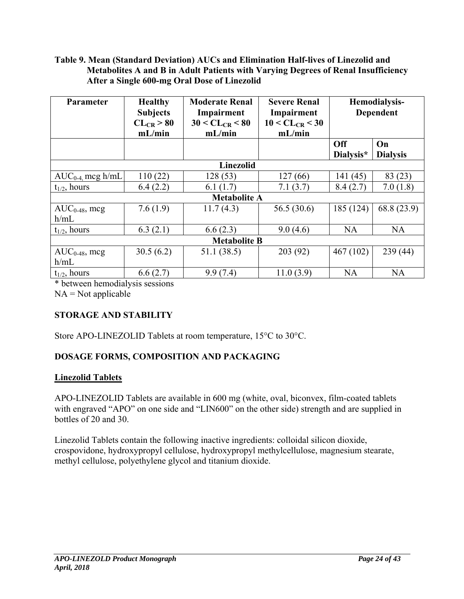### **Table 9. Mean (Standard Deviation) AUCs and Elimination Half-lives of Linezolid and Metabolites A and B in Adult Patients with Varying Degrees of Renal Insufficiency After a Single 600-mg Oral Dose of Linezolid**

| <b>Parameter</b>           | <b>Healthy</b><br><b>Subjects</b><br>$CL_{CR} > 80$<br>mL/min | <b>Moderate Renal</b><br>Impairment<br>$30 < CL_{CR} < 80$<br>mL/min | <b>Severe Renal</b><br>Impairment<br>$10 < CL_{CR} < 30$<br>mL/min | Hemodialysis-<br><b>Dependent</b> |                       |  |
|----------------------------|---------------------------------------------------------------|----------------------------------------------------------------------|--------------------------------------------------------------------|-----------------------------------|-----------------------|--|
|                            |                                                               |                                                                      |                                                                    | <b>Off</b><br>Dialysis*           | On<br><b>Dialysis</b> |  |
|                            |                                                               | <b>Linezolid</b>                                                     |                                                                    |                                   |                       |  |
| $AUC_{0-4}$ mcg h/mL       | 110(22)                                                       | 128(53)                                                              | 127 (66)                                                           | 141 (45)                          | 83(23)                |  |
| $t_{1/2}$ , hours          | 6.4(2.2)                                                      | 6.1 $(1.7)$                                                          | 7.1(3.7)                                                           | 8.4(2.7)                          | 7.0(1.8)              |  |
|                            |                                                               | <b>Metabolite A</b>                                                  |                                                                    |                                   |                       |  |
| $AUC_{0-48}$ , mcg<br>h/mL | 7.6(1.9)                                                      | 11.7(4.3)                                                            | 56.5(30.6)                                                         | 185 (124)                         | 68.8(23.9)            |  |
| $t_{1/2}$ , hours          | 6.3(2.1)                                                      | 6.6(2.3)                                                             | 9.0(4.6)                                                           | <b>NA</b>                         | <b>NA</b>             |  |
| <b>Metabolite B</b>        |                                                               |                                                                      |                                                                    |                                   |                       |  |
| $AUC_{0-48}$ , mcg<br>h/mL | 30.5(6.2)                                                     | 51.1 (38.5)                                                          | 203(92)                                                            | 467(102)                          | 239(44)               |  |
| $t_{1/2}$ , hours          | 6.6(2.7)                                                      | 9.9(7.4)                                                             | 11.0(3.9)                                                          | <b>NA</b>                         | <b>NA</b>             |  |

\* between hemodialysis sessions

 $NA = Not applicable$ 

# **STORAGE AND STABILITY**

Store APO-LINEZOLID Tablets at room temperature, 15°C to 30°C.

# **DOSAGE FORMS, COMPOSITION AND PACKAGING**

# **Linezolid Tablets**

APO-LINEZOLID Tablets are available in 600 mg (white, oval, biconvex, film-coated tablets with engraved "APO" on one side and "LIN600" on the other side) strength and are supplied in bottles of 20 and 30.

Linezolid Tablets contain the following inactive ingredients: colloidal silicon dioxide, crospovidone, hydroxypropyl cellulose, hydroxypropyl methylcellulose, magnesium stearate, methyl cellulose, polyethylene glycol and titanium dioxide.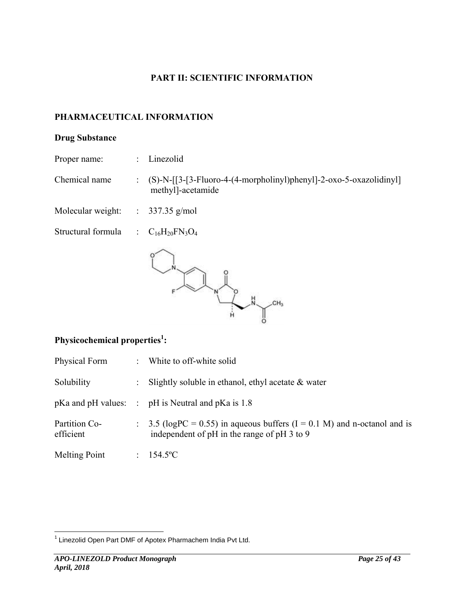## **PART II: SCIENTIFIC INFORMATION**

## **PHARMACEUTICAL INFORMATION**

## **Drug Substance**

Proper name: : Linezolid

Chemical name : (S)-N-[[3-[3-Fluoro-4-(4-morpholinyl)phenyl]-2-oxo-5-oxazolidinyl] methyl]-acetamide

Molecular weight: : 337.35 g/mol

Structural formula  $\qquad \qquad : \quad C_{16}H_{20}FN_3O_4$ 



# Physicochemical properties<sup>1</sup>:

| Physical Form              | : White to off-white solid                                                                                                |
|----------------------------|---------------------------------------------------------------------------------------------------------------------------|
| Solubility                 | : Slightly soluble in ethanol, ethyl acetate $\&$ water                                                                   |
|                            | $pKa$ and $pH$ values: $\therefore$ $pH$ is Neutral and $pKa$ is 1.8                                                      |
| Partition Co-<br>efficient | : 3.5 (logPC = 0.55) in aqueous buffers $(I = 0.1 M)$ and n-octanol and is<br>independent of pH in the range of pH 3 to 9 |
| Melting Point              | : 154.5°C                                                                                                                 |

 $1$  Linezolid Open Part DMF of Apotex Pharmachem India Pvt Ltd.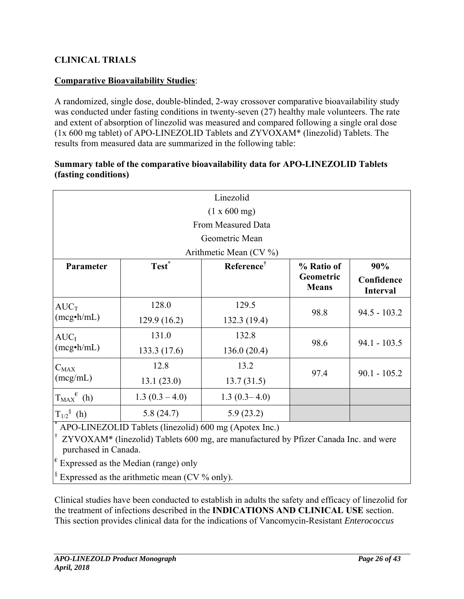# **CLINICAL TRIALS**

## **Comparative Bioavailability Studies**:

A randomized, single dose, double-blinded, 2-way crossover comparative bioavailability study was conducted under fasting conditions in twenty-seven (27) healthy male volunteers. The rate and extent of absorption of linezolid was measured and compared following a single oral dose (1x 600 mg tablet) of APO-LINEZOLID Tablets and ZYVOXAM\* (linezolid) Tablets. The results from measured data are summarized in the following table:

### **Summary table of the comparative bioavailability data for APO-LINEZOLID Tablets (fasting conditions)**

|                                                      |                                                                                                                                                                                            | Linezolid              |                                         |                                      |  |  |  |
|------------------------------------------------------|--------------------------------------------------------------------------------------------------------------------------------------------------------------------------------------------|------------------------|-----------------------------------------|--------------------------------------|--|--|--|
|                                                      |                                                                                                                                                                                            | (1 x 600 mg)           |                                         |                                      |  |  |  |
|                                                      |                                                                                                                                                                                            | From Measured Data     |                                         |                                      |  |  |  |
| Geometric Mean                                       |                                                                                                                                                                                            |                        |                                         |                                      |  |  |  |
|                                                      |                                                                                                                                                                                            | Arithmetic Mean (CV %) |                                         |                                      |  |  |  |
| Parameter                                            | Test <sup>*</sup>                                                                                                                                                                          | Reference <sup>†</sup> | % Ratio of<br>Geometric<br><b>Means</b> | 90%<br>Confidence<br><b>Interval</b> |  |  |  |
| $AUC_T$                                              | 128.0                                                                                                                                                                                      | 129.5                  |                                         | $94.5 - 103.2$                       |  |  |  |
| $(mcg\cdot h/mL)$                                    | 129.9 (16.2)                                                                                                                                                                               | 132.3 (19.4)           | 98.8                                    |                                      |  |  |  |
| $AUC_I$                                              | 131.0                                                                                                                                                                                      | 132.8                  |                                         |                                      |  |  |  |
| $(mcg\cdot h/mL)$                                    | 133.3 (17.6)                                                                                                                                                                               | 136.0(20.4)            | 98.6                                    | $94.1 - 103.5$                       |  |  |  |
| $C_{MAX}$                                            | 12.8                                                                                                                                                                                       | 13.2                   |                                         |                                      |  |  |  |
| (mcg/mL)                                             | 13.1(23.0)                                                                                                                                                                                 | 13.7(31.5)             | 97.4                                    | $90.1 - 105.2$                       |  |  |  |
| $T_{MAX}^{\{\epsilon\}}$ (h)                         | $1.3(0.3 - 4.0)$                                                                                                                                                                           | $1.3(0.3-4.0)$         |                                         |                                      |  |  |  |
| $T_{1/2}$ <sup>§</sup> (h)<br>5.9(23.2)<br>5.8(24.7) |                                                                                                                                                                                            |                        |                                         |                                      |  |  |  |
| purchased in Canada.                                 | APO-LINEZOLID Tablets (linezolid) 600 mg (Apotex Inc.)<br>ZYVOXAM* (linezolid) Tablets 600 mg, are manufactured by Pfizer Canada Inc. and were<br>$ \ell_{\text{Evar}^{\text{ce}}}\rangle$ |                        |                                         |                                      |  |  |  |

Expressed as the Median (range) only

 $\frac{1}{2}$  Expressed as the arithmetic mean (CV % only).

Clinical studies have been conducted to establish in adults the safety and efficacy of linezolid for the treatment of infections described in the **INDICATIONS AND CLINICAL USE** section. This section provides clinical data for the indications of Vancomycin-Resistant *Enterococcus*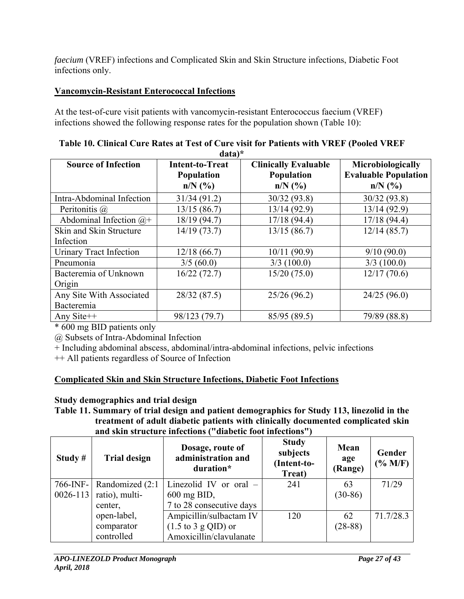*faecium* (VREF) infections and Complicated Skin and Skin Structure infections, Diabetic Foot infections only.

# **Vancomycin-Resistant Enterococcal Infections**

At the test-of-cure visit patients with vancomycin-resistant Enterococcus faecium (VREF) infections showed the following response rates for the population shown (Table 10):

| <b>Source of Infection</b>      | <b>Intent-to-Treat</b>         | <b>Clinically Evaluable</b> | Microbiologically                        |
|---------------------------------|--------------------------------|-----------------------------|------------------------------------------|
|                                 | <b>Population</b><br>$n/N$ (%) | Population<br>$n/N$ (%)     | <b>Evaluable Population</b><br>$n/N$ (%) |
| Intra-Abdominal Infection       | 31/34(91.2)                    | 30/32(93.8)                 | 30/32(93.8)                              |
| Peritonitis @                   | 13/15(86.7)                    | 13/14 (92.9)                | 13/14 (92.9)                             |
| Abdominal Infection $(a)$ +     | 18/19 (94.7)                   | 17/18(94.4)                 | 17/18(94.4)                              |
| Skin and Skin Structure         | 14/19(73.7)                    | 13/15(86.7)                 | 12/14(85.7)                              |
| Infection                       |                                |                             |                                          |
| Urinary Tract Infection         | 12/18(66.7)                    | 10/11(90.9)                 | 9/10(90.0)                               |
| Pneumonia                       | 3/5(60.0)                      | 3/3(100.0)                  | 3/3(100.0)                               |
| Bacteremia of Unknown<br>Origin | 16/22(72.7)                    | 15/20(75.0)                 | 12/17(70.6)                              |
| Any Site With Associated        | 28/32 (87.5)                   | 25/26(96.2)                 | 24/25(96.0)                              |
| Bacteremia                      |                                |                             |                                          |
| Any Site++                      | 98/123 (79.7)                  | 85/95 (89.5)                | 79/89 (88.8)                             |

| Table 10. Clinical Cure Rates at Test of Cure visit for Patients with VREF (Pooled VREF |          |  |  |
|-----------------------------------------------------------------------------------------|----------|--|--|
|                                                                                         | $data)*$ |  |  |

\* 600 mg BID patients only

@ Subsets of Intra-Abdominal Infection

+ Including abdominal abscess, abdominal/intra-abdominal infections, pelvic infections

++ All patients regardless of Source of Infection

# **Complicated Skin and Skin Structure Infections, Diabetic Foot Infections**

# **Study demographics and trial design**

**Table 11. Summary of trial design and patient demographics for Study 113, linezolid in the treatment of adult diabetic patients with clinically documented complicated skin and skin structure infections ("diabetic foot infections")** 

| Study $#$    | <b>Trial design</b> | Dosage, route of<br>administration and<br>duration* | <b>Study</b><br>subjects<br>(Intent-to-<br>Treat) | Mean<br>age<br>(Range) | Gender<br>$(%$ (% M/F) |
|--------------|---------------------|-----------------------------------------------------|---------------------------------------------------|------------------------|------------------------|
| $766$ -INF-  | Randomized (2:1)    | Linezolid IV or oral $-$                            | 241                                               | 63                     | 71/29                  |
| $0026 - 113$ | ratio), multi-      | $600$ mg BID,                                       |                                                   | $(30-86)$              |                        |
|              | center,             | 7 to 28 consecutive days                            |                                                   |                        |                        |
|              | open-label,         | Ampicillin/sulbactam IV                             | 120                                               | 62                     | 71.7/28.3              |
|              | comparator          | $(1.5 \text{ to } 3 \text{ g QID})$ or              |                                                   | $(28-88)$              |                        |
|              | controlled          | Amoxicillin/clavulanate                             |                                                   |                        |                        |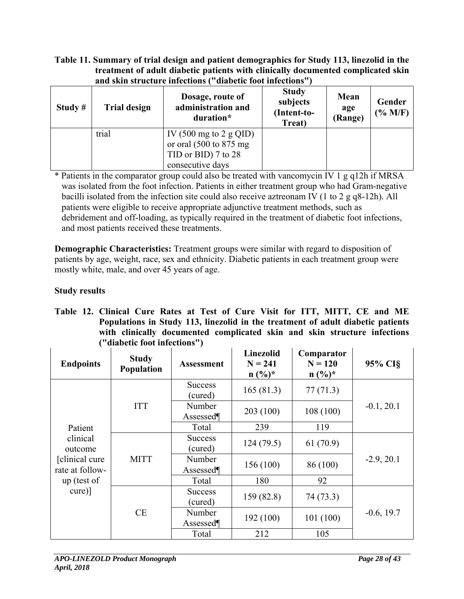#### **Table 11. Summary of trial design and patient demographics for Study 113, linezolid in the treatment of adult diabetic patients with clinically documented complicated skin and skin structure infections ("diabetic foot infections")**

| Study $#$ | <b>Trial design</b> | Dosage, route of<br>administration and<br>duration*                                                                                | <b>Study</b><br>subjects<br>(Intent-to-<br>Treat) | Mean<br>age<br>(Range) | Gender<br>$($ % M/F) |
|-----------|---------------------|------------------------------------------------------------------------------------------------------------------------------------|---------------------------------------------------|------------------------|----------------------|
|           | trial               | IV $(500 \text{ mg to } 2 \text{ g QID})$<br>or oral $(500 \text{ to } 875 \text{ mg})$<br>TID or BID) 7 to 28<br>consecutive days |                                                   |                        |                      |

\* Patients in the comparator group could also be treated with vancomycin IV 1 g q12h if MRSA was isolated from the foot infection. Patients in either treatment group who had Gram-negative bacilli isolated from the infection site could also receive aztreonam IV (1 to 2 g q8-12h). All patients were eligible to receive appropriate adjunctive treatment methods, such as debridement and off-loading, as typically required in the treatment of diabetic foot infections, and most patients received these treatments.

**Demographic Characteristics:** Treatment groups were similar with regard to disposition of patients by age, weight, race, sex and ethnicity. Diabetic patients in each treatment group were mostly white, male, and over 45 years of age.

# **Study results**

|  | Table 12. Clinical Cure Rates at Test of Cure Visit for ITT, MITT, CE and ME    |
|--|---------------------------------------------------------------------------------|
|  | Populations in Study 113, linezolid in the treatment of adult diabetic patients |
|  | with clinically documented complicated skin and skin structure infections       |
|  | ("diabetic foot infections")                                                    |

| <b>Endpoints</b>                   | <b>Study</b><br>Population | <b>Assessment</b>         | <b>Linezolid</b><br>$N = 241$<br>$n (%)^*$ | Comparator<br>$N = 120$<br>$n (%)^*$ | 95% CI§      |
|------------------------------------|----------------------------|---------------------------|--------------------------------------------|--------------------------------------|--------------|
|                                    |                            | <b>Success</b><br>(cured) | 165(81.3)                                  | 77(71.3)                             |              |
|                                    | <b>ITT</b>                 | Number<br>Assessed¶       | 203(100)                                   | 108 (100)                            | $-0.1, 20.1$ |
| Patient                            |                            | Total                     | 239                                        | 119                                  |              |
| clinical<br>outcome                | <b>MITT</b><br>CE          | <b>Success</b><br>(cured) | 124(79.5)                                  | 61(70.9)                             |              |
| [clinical cure]<br>rate at follow- |                            | Number<br>Assessed¶       | 156 (100)                                  | 86 (100)                             | $-2.9, 20.1$ |
| up (test of                        |                            | Total                     | 180                                        | 92                                   |              |
| $curel)$ ]                         |                            | <b>Success</b><br>(cured) | 159(82.8)                                  | 74 (73.3)                            |              |
|                                    |                            | Number<br>Assessed¶       | 192(100)                                   | 101(100)                             | $-0.6, 19.7$ |
|                                    |                            | Total                     | 212                                        | 105                                  |              |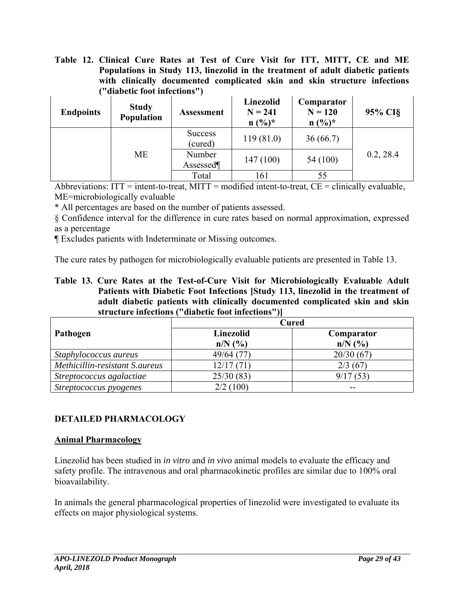**Table 12. Clinical Cure Rates at Test of Cure Visit for ITT, MITT, CE and ME Populations in Study 113, linezolid in the treatment of adult diabetic patients with clinically documented complicated skin and skin structure infections ("diabetic foot infections")** 

| <b>Endpoints</b> | <b>Study</b><br><b>Population</b> | <b>Assessment</b>         | Linezolid<br>$N = 241$<br>$n (%)^*$ | Comparator<br>$N = 120$<br>$n (%)^*$ | 95% CI§   |  |
|------------------|-----------------------------------|---------------------------|-------------------------------------|--------------------------------------|-----------|--|
|                  |                                   | <b>Success</b><br>(cured) | 119(81.0)                           | 36(66.7)                             |           |  |
|                  | <b>ME</b>                         | Number<br>Assessed        | 147(100)                            | 54 (100)                             | 0.2, 28.4 |  |
|                  |                                   | Total                     | 161                                 | 55                                   |           |  |

Abbreviations:  $ITT =$  intent-to-treat,  $MITT =$  modified intent-to-treat,  $CE =$  clinically evaluable, ME=microbiologically evaluable

\* All percentages are based on the number of patients assessed.

§ Confidence interval for the difference in cure rates based on normal approximation, expressed as a percentage

¶ Excludes patients with Indeterminate or Missing outcomes.

The cure rates by pathogen for microbiologically evaluable patients are presented in Table 13.

**Table 13. Cure Rates at the Test-of-Cure Visit for Microbiologically Evaluable Adult Patients with Diabetic Foot Infections [Study 113, linezolid in the treatment of adult diabetic patients with clinically documented complicated skin and skin structure infections ("diabetic foot infections")]** 

|                                |                           | <b>Cured</b>            |
|--------------------------------|---------------------------|-------------------------|
| Pathogen                       | Linezolid<br>$n/N$ $(\%)$ | Comparator<br>$n/N$ (%) |
| Staphylococcus aureus          | 49/64 (77)                | 20/30(67)               |
| Methicillin-resistant S.aureus | 12/17(71)                 | 2/3(67)                 |
| Streptococcus agalactiae       | 25/30(83)                 | 9/17(53)                |
| Streptococcus pyogenes         | 2/2(100)                  |                         |

### **DETAILED PHARMACOLOGY**

### **Animal Pharmacology**

Linezolid has been studied in *in vitro* and *in vivo* animal models to evaluate the efficacy and safety profile. The intravenous and oral pharmacokinetic profiles are similar due to 100% oral bioavailability.

In animals the general pharmacological properties of linezolid were investigated to evaluate its effects on major physiological systems.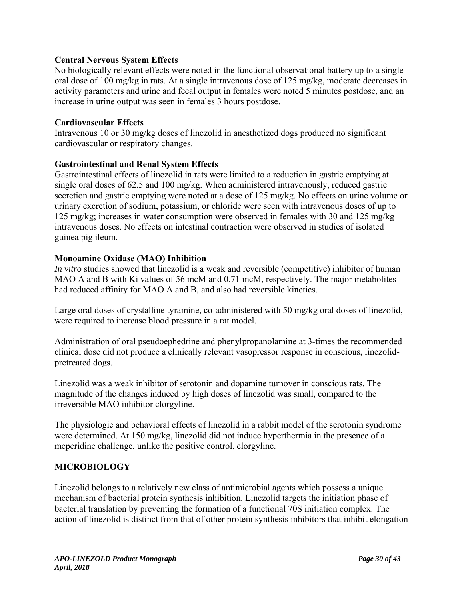## **Central Nervous System Effects**

No biologically relevant effects were noted in the functional observational battery up to a single oral dose of 100 mg/kg in rats. At a single intravenous dose of 125 mg/kg, moderate decreases in activity parameters and urine and fecal output in females were noted 5 minutes postdose, and an increase in urine output was seen in females 3 hours postdose.

### **Cardiovascular Effects**

Intravenous 10 or 30 mg/kg doses of linezolid in anesthetized dogs produced no significant cardiovascular or respiratory changes.

## **Gastrointestinal and Renal System Effects**

Gastrointestinal effects of linezolid in rats were limited to a reduction in gastric emptying at single oral doses of 62.5 and 100 mg/kg. When administered intravenously, reduced gastric secretion and gastric emptying were noted at a dose of 125 mg/kg. No effects on urine volume or urinary excretion of sodium, potassium, or chloride were seen with intravenous doses of up to 125 mg/kg; increases in water consumption were observed in females with 30 and 125 mg/kg intravenous doses. No effects on intestinal contraction were observed in studies of isolated guinea pig ileum.

## **Monoamine Oxidase (MAO) Inhibition**

*In vitro* studies showed that linezolid is a weak and reversible (competitive) inhibitor of human MAO A and B with Ki values of 56 mcM and 0.71 mcM, respectively. The major metabolites had reduced affinity for MAO A and B, and also had reversible kinetics.

Large oral doses of crystalline tyramine, co-administered with 50 mg/kg oral doses of linezolid, were required to increase blood pressure in a rat model.

Administration of oral pseudoephedrine and phenylpropanolamine at 3-times the recommended clinical dose did not produce a clinically relevant vasopressor response in conscious, linezolidpretreated dogs.

Linezolid was a weak inhibitor of serotonin and dopamine turnover in conscious rats. The magnitude of the changes induced by high doses of linezolid was small, compared to the irreversible MAO inhibitor clorgyline.

The physiologic and behavioral effects of linezolid in a rabbit model of the serotonin syndrome were determined. At 150 mg/kg, linezolid did not induce hyperthermia in the presence of a meperidine challenge, unlike the positive control, clorgyline.

# **MICROBIOLOGY**

Linezolid belongs to a relatively new class of antimicrobial agents which possess a unique mechanism of bacterial protein synthesis inhibition. Linezolid targets the initiation phase of bacterial translation by preventing the formation of a functional 70S initiation complex. The action of linezolid is distinct from that of other protein synthesis inhibitors that inhibit elongation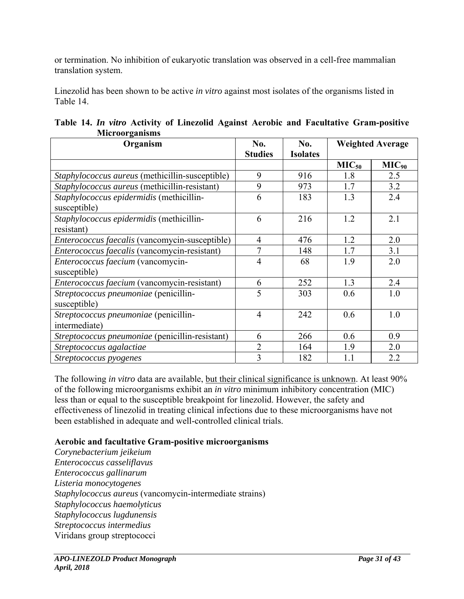or termination. No inhibition of eukaryotic translation was observed in a cell-free mammalian translation system.

Linezolid has been shown to be active *in vitro* against most isolates of the organisms listed in Table 14.

| Organism                                                 | No.<br>No.<br><b>Studies</b><br><b>Isolates</b> |     | <b>Weighted Average</b> |            |  |
|----------------------------------------------------------|-------------------------------------------------|-----|-------------------------|------------|--|
|                                                          |                                                 |     | MIC <sub>50</sub>       | $MIC_{90}$ |  |
| Staphylococcus aureus (methicillin-susceptible)          | 9                                               | 916 | 1.8                     | 2.5        |  |
| Staphylococcus aureus (methicillin-resistant)            | 9                                               | 973 | 1.7                     | 3.2        |  |
| Staphylococcus epidermidis (methicillin-<br>susceptible) | 6                                               | 183 | 1.3                     | 2.4        |  |
| Staphylococcus epidermidis (methicillin-<br>resistant)   | 6                                               | 216 | 1.2                     | 2.1        |  |
| Enterococcus faecalis (vancomycin-susceptible)           | $\overline{4}$                                  | 476 | 1.2                     | 2.0        |  |
| Enterococcus faecalis (vancomycin-resistant)             | 7                                               | 148 | 1.7                     | 3.1        |  |
| Enterococcus faecium (vancomycin-<br>susceptible)        | $\overline{4}$                                  | 68  | 1.9                     | 2.0        |  |
| Enterococcus faecium (vancomycin-resistant)              | 6                                               | 252 | 1.3                     | 2.4        |  |
| Streptococcus pneumoniae (penicillin-<br>susceptible)    | 5                                               | 303 | 0.6                     | 1.0        |  |
| Streptococcus pneumoniae (penicillin-<br>intermediate)   | 4                                               | 242 | 0.6                     | 1.0        |  |
| Streptococcus pneumoniae (penicillin-resistant)          | 6                                               | 266 | 0.6                     | 0.9        |  |
| Streptococcus agalactiae                                 | $\overline{2}$                                  | 164 | 1.9                     | 2.0        |  |
| Streptococcus pyogenes                                   | 3                                               | 182 | 1.1                     | 2.2        |  |

|  |  |                       |  |  |  | Table 14. In vitro Activity of Linezolid Against Aerobic and Facultative Gram-positive |  |
|--|--|-----------------------|--|--|--|----------------------------------------------------------------------------------------|--|
|  |  | <b>Microorganisms</b> |  |  |  |                                                                                        |  |

The following *in vitro* data are available, but their clinical significance is unknown. At least 90% of the following microorganisms exhibit an *in vitro* minimum inhibitory concentration (MIC) less than or equal to the susceptible breakpoint for linezolid. However, the safety and effectiveness of linezolid in treating clinical infections due to these microorganisms have not been established in adequate and well-controlled clinical trials.

# **Aerobic and facultative Gram-positive microorganisms**

*Corynebacterium jeikeium Enterococcus casseliflavus Enterococcus gallinarum Listeria monocytogenes Staphylococcus aureus* (vancomycin-intermediate strains) *Staphylococcus haemolyticus Staphylococcus lugdunensis Streptococcus intermedius*  Viridans group streptococci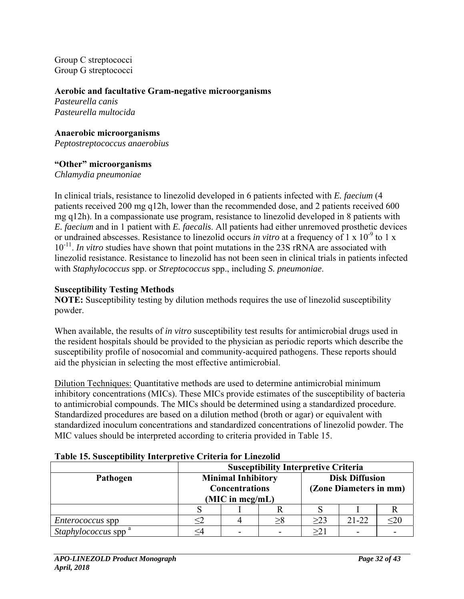Group C streptococci Group G streptococci

#### **Aerobic and facultative Gram-negative microorganisms**

*Pasteurella canis Pasteurella multocida* 

# **Anaerobic microorganisms**

*Peptostreptococcus anaerobius* 

### **"Other" microorganisms**

*Chlamydia pneumoniae* 

In clinical trials, resistance to linezolid developed in 6 patients infected with *E. faecium* (4 patients received 200 mg q12h, lower than the recommended dose, and 2 patients received 600 mg q12h). In a compassionate use program, resistance to linezolid developed in 8 patients with *E. faecium* and in 1 patient with *E. faecalis*. All patients had either unremoved prosthetic devices or undrained abscesses. Resistance to linezolid occurs *in vitro* at a frequency of 1 x 10<sup>-9</sup> to 1 x 10<sup>-11</sup>. *In vitro* studies have shown that point mutations in the 23S rRNA are associated with linezolid resistance. Resistance to linezolid has not been seen in clinical trials in patients infected with *Staphylococcus* spp. or *Streptococcus* spp., including *S. pneumoniae*.

### **Susceptibility Testing Methods**

**NOTE:** Susceptibility testing by dilution methods requires the use of linezolid susceptibility powder.

When available, the results of *in vitro* susceptibility test results for antimicrobial drugs used in the resident hospitals should be provided to the physician as periodic reports which describe the susceptibility profile of nosocomial and community-acquired pathogens. These reports should aid the physician in selecting the most effective antimicrobial.

Dilution Techniques: Quantitative methods are used to determine antimicrobial minimum inhibitory concentrations (MICs). These MICs provide estimates of the susceptibility of bacteria to antimicrobial compounds. The MICs should be determined using a standardized procedure. Standardized procedures are based on a dilution method (broth or agar) or equivalent with standardized inoculum concentrations and standardized concentrations of linezolid powder. The MIC values should be interpreted according to criteria provided in Table 15.

|                                        | <b>Susceptibility Interpretive Criteria</b>        |  |                                                 |           |     |  |
|----------------------------------------|----------------------------------------------------|--|-------------------------------------------------|-----------|-----|--|
| Pathogen                               | <b>Minimal Inhibitory</b><br><b>Concentrations</b> |  | <b>Disk Diffusion</b><br>(Zone Diameters in mm) |           |     |  |
|                                        | (MIC in meg/mL)                                    |  |                                                 |           |     |  |
|                                        |                                                    |  |                                                 |           |     |  |
| <i>Enterococcus</i> spp                |                                                    |  | >23                                             | $21 - 22$ | <20 |  |
| <i>Staphylococcus</i> spp <sup>a</sup> |                                                    |  | >21                                             |           |     |  |

#### **Table 15. Susceptibility Interpretive Criteria for Linezolid**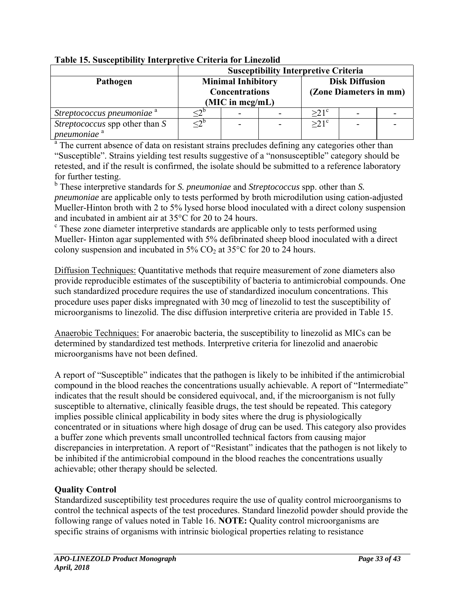|                                       | <b>Susceptibility Interpretive Criteria</b> |                           |                        |                       |  |  |
|---------------------------------------|---------------------------------------------|---------------------------|------------------------|-----------------------|--|--|
| Pathogen                              |                                             | <b>Minimal Inhibitory</b> |                        | <b>Disk Diffusion</b> |  |  |
|                                       | <b>Concentrations</b>                       |                           | (Zone Diameters in mm) |                       |  |  |
|                                       | (MIC in meg/mL)                             |                           |                        |                       |  |  |
| Streptococcus pneumoniae <sup>a</sup> |                                             |                           |                        | $>21^{\circ}$         |  |  |
| <i>Streptococcus</i> spp other than S | <2                                          |                           |                        | $>21^{\circ}$         |  |  |
| pneumoniae <sup>a</sup>               |                                             |                           |                        |                       |  |  |

# **Table 15. Susceptibility Interpretive Criteria for Linezolid**

<sup>a</sup> The current absence of data on resistant strains precludes defining any categories other than "Susceptible". Strains yielding test results suggestive of a "nonsusceptible" category should be retested, and if the result is confirmed, the isolate should be submitted to a reference laboratory for further testing.

b These interpretive standards for *S. pneumoniae* and *Streptococcus* spp. other than *S. pneumoniae* are applicable only to tests performed by broth microdilution using cation-adjusted Mueller-Hinton broth with 2 to 5% lysed horse blood inoculated with a direct colony suspension and incubated in ambient air at 35°C for 20 to 24 hours.

<sup>c</sup> These zone diameter interpretive standards are applicable only to tests performed using Mueller- Hinton agar supplemented with 5% defibrinated sheep blood inoculated with a direct colony suspension and incubated in  $5\%$  CO<sub>2</sub> at  $35^{\circ}$ C for 20 to 24 hours.

Diffusion Techniques: Quantitative methods that require measurement of zone diameters also provide reproducible estimates of the susceptibility of bacteria to antimicrobial compounds. One such standardized procedure requires the use of standardized inoculum concentrations. This procedure uses paper disks impregnated with 30 mcg of linezolid to test the susceptibility of microorganisms to linezolid. The disc diffusion interpretive criteria are provided in Table 15.

Anaerobic Techniques: For anaerobic bacteria, the susceptibility to linezolid as MICs can be determined by standardized test methods. Interpretive criteria for linezolid and anaerobic microorganisms have not been defined.

A report of "Susceptible" indicates that the pathogen is likely to be inhibited if the antimicrobial compound in the blood reaches the concentrations usually achievable. A report of "Intermediate" indicates that the result should be considered equivocal, and, if the microorganism is not fully susceptible to alternative, clinically feasible drugs, the test should be repeated. This category implies possible clinical applicability in body sites where the drug is physiologically concentrated or in situations where high dosage of drug can be used. This category also provides a buffer zone which prevents small uncontrolled technical factors from causing major discrepancies in interpretation. A report of "Resistant" indicates that the pathogen is not likely to be inhibited if the antimicrobial compound in the blood reaches the concentrations usually achievable; other therapy should be selected.

# **Quality Control**

Standardized susceptibility test procedures require the use of quality control microorganisms to control the technical aspects of the test procedures. Standard linezolid powder should provide the following range of values noted in Table 16. **NOTE:** Quality control microorganisms are specific strains of organisms with intrinsic biological properties relating to resistance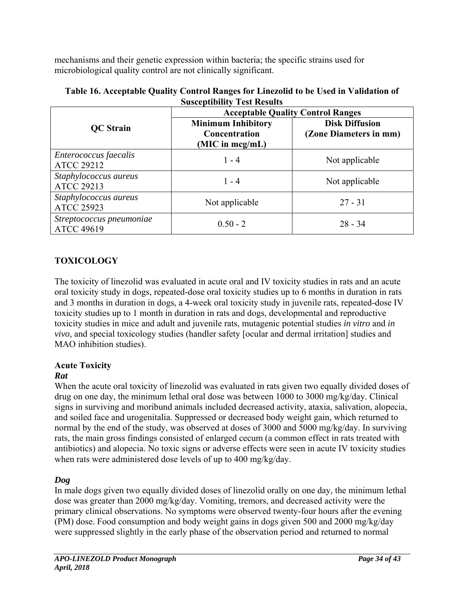mechanisms and their genetic expression within bacteria; the specific strains used for microbiological quality control are not clinically significant.

| Susceptibility Test Results                   |                                                                  |                                                 |  |  |  |  |  |
|-----------------------------------------------|------------------------------------------------------------------|-------------------------------------------------|--|--|--|--|--|
|                                               | <b>Acceptable Quality Control Ranges</b>                         |                                                 |  |  |  |  |  |
| <b>QC</b> Strain                              | <b>Minimum Inhibitory</b><br>Concentration<br>(MIC in $mcg/mL$ ) | <b>Disk Diffusion</b><br>(Zone Diameters in mm) |  |  |  |  |  |
| Enterococcus faecalis<br><b>ATCC 29212</b>    | $1 - 4$                                                          | Not applicable                                  |  |  |  |  |  |
| Staphylococcus aureus<br><b>ATCC 29213</b>    | $1 - 4$                                                          | Not applicable                                  |  |  |  |  |  |
| Staphylococcus aureus<br><b>ATCC 25923</b>    | Not applicable                                                   | $27 - 31$                                       |  |  |  |  |  |
| Streptococcus pneumoniae<br><b>ATCC 49619</b> | $0.50 - 2$                                                       | $28 - 34$                                       |  |  |  |  |  |

| Table 16. Acceptable Quality Control Ranges for Linezolid to be Used in Validation of |
|---------------------------------------------------------------------------------------|
| <b>Susceptibility Test Results</b>                                                    |

# **TOXICOLOGY**

The toxicity of linezolid was evaluated in acute oral and IV toxicity studies in rats and an acute oral toxicity study in dogs, repeated-dose oral toxicity studies up to 6 months in duration in rats and 3 months in duration in dogs, a 4-week oral toxicity study in juvenile rats, repeated-dose IV toxicity studies up to 1 month in duration in rats and dogs, developmental and reproductive toxicity studies in mice and adult and juvenile rats, mutagenic potential studies *in vitro* and *in vivo*, and special toxicology studies (handler safety [ocular and dermal irritation] studies and MAO inhibition studies).

# **Acute Toxicity**

# *Rat*

When the acute oral toxicity of linezolid was evaluated in rats given two equally divided doses of drug on one day, the minimum lethal oral dose was between 1000 to 3000 mg/kg/day. Clinical signs in surviving and moribund animals included decreased activity, ataxia, salivation, alopecia, and soiled face and urogenitalia. Suppressed or decreased body weight gain, which returned to normal by the end of the study, was observed at doses of 3000 and 5000 mg/kg/day. In surviving rats, the main gross findings consisted of enlarged cecum (a common effect in rats treated with antibiotics) and alopecia. No toxic signs or adverse effects were seen in acute IV toxicity studies when rats were administered dose levels of up to 400 mg/kg/day.

# *Dog*

In male dogs given two equally divided doses of linezolid orally on one day, the minimum lethal dose was greater than 2000 mg/kg/day. Vomiting, tremors, and decreased activity were the primary clinical observations. No symptoms were observed twenty-four hours after the evening (PM) dose. Food consumption and body weight gains in dogs given 500 and 2000 mg/kg/day were suppressed slightly in the early phase of the observation period and returned to normal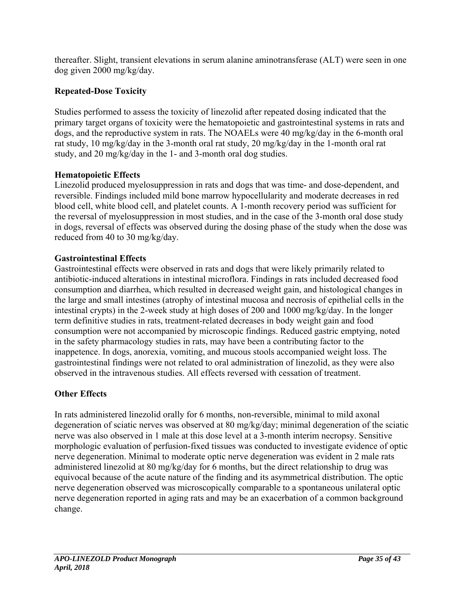thereafter. Slight, transient elevations in serum alanine aminotransferase (ALT) were seen in one dog given 2000 mg/kg/day.

# **Repeated-Dose Toxicity**

Studies performed to assess the toxicity of linezolid after repeated dosing indicated that the primary target organs of toxicity were the hematopoietic and gastrointestinal systems in rats and dogs, and the reproductive system in rats. The NOAELs were 40 mg/kg/day in the 6-month oral rat study, 10 mg/kg/day in the 3-month oral rat study, 20 mg/kg/day in the 1-month oral rat study, and 20 mg/kg/day in the 1- and 3-month oral dog studies.

# **Hematopoietic Effects**

Linezolid produced myelosuppression in rats and dogs that was time- and dose-dependent, and reversible. Findings included mild bone marrow hypocellularity and moderate decreases in red blood cell, white blood cell, and platelet counts. A 1-month recovery period was sufficient for the reversal of myelosuppression in most studies, and in the case of the 3-month oral dose study in dogs, reversal of effects was observed during the dosing phase of the study when the dose was reduced from 40 to 30 mg/kg/day.

# **Gastrointestinal Effects**

Gastrointestinal effects were observed in rats and dogs that were likely primarily related to antibiotic-induced alterations in intestinal microflora. Findings in rats included decreased food consumption and diarrhea, which resulted in decreased weight gain, and histological changes in the large and small intestines (atrophy of intestinal mucosa and necrosis of epithelial cells in the intestinal crypts) in the 2-week study at high doses of 200 and 1000 mg/kg/day. In the longer term definitive studies in rats, treatment-related decreases in body weight gain and food consumption were not accompanied by microscopic findings. Reduced gastric emptying, noted in the safety pharmacology studies in rats, may have been a contributing factor to the inappetence. In dogs, anorexia, vomiting, and mucous stools accompanied weight loss. The gastrointestinal findings were not related to oral administration of linezolid, as they were also observed in the intravenous studies. All effects reversed with cessation of treatment.

# **Other Effects**

In rats administered linezolid orally for 6 months, non-reversible, minimal to mild axonal degeneration of sciatic nerves was observed at 80 mg/kg/day; minimal degeneration of the sciatic nerve was also observed in 1 male at this dose level at a 3-month interim necropsy. Sensitive morphologic evaluation of perfusion-fixed tissues was conducted to investigate evidence of optic nerve degeneration. Minimal to moderate optic nerve degeneration was evident in 2 male rats administered linezolid at 80 mg/kg/day for 6 months, but the direct relationship to drug was equivocal because of the acute nature of the finding and its asymmetrical distribution. The optic nerve degeneration observed was microscopically comparable to a spontaneous unilateral optic nerve degeneration reported in aging rats and may be an exacerbation of a common background change.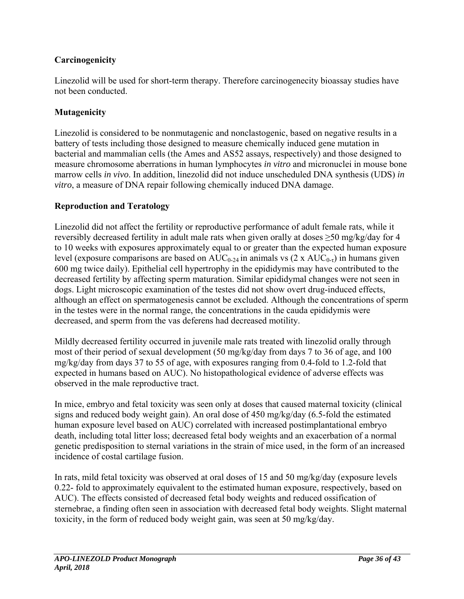# **Carcinogenicity**

Linezolid will be used for short-term therapy. Therefore carcinogenecity bioassay studies have not been conducted.

# **Mutagenicity**

Linezolid is considered to be nonmutagenic and nonclastogenic, based on negative results in a battery of tests including those designed to measure chemically induced gene mutation in bacterial and mammalian cells (the Ames and AS52 assays, respectively) and those designed to measure chromosome aberrations in human lymphocytes *in vitro* and micronuclei in mouse bone marrow cells *in vivo*. In addition, linezolid did not induce unscheduled DNA synthesis (UDS) *in vitro*, a measure of DNA repair following chemically induced DNA damage.

## **Reproduction and Teratology**

Linezolid did not affect the fertility or reproductive performance of adult female rats, while it reversibly decreased fertility in adult male rats when given orally at doses ≥50 mg/kg/day for 4 to 10 weeks with exposures approximately equal to or greater than the expected human exposure level (exposure comparisons are based on  $AUC_{0.24}$  in animals vs (2 x  $AUC_{0.7}$ ) in humans given 600 mg twice daily). Epithelial cell hypertrophy in the epididymis may have contributed to the decreased fertility by affecting sperm maturation. Similar epididymal changes were not seen in dogs. Light microscopic examination of the testes did not show overt drug-induced effects, although an effect on spermatogenesis cannot be excluded. Although the concentrations of sperm in the testes were in the normal range, the concentrations in the cauda epididymis were decreased, and sperm from the vas deferens had decreased motility.

Mildly decreased fertility occurred in juvenile male rats treated with linezolid orally through most of their period of sexual development (50 mg/kg/day from days 7 to 36 of age, and 100 mg/kg/day from days 37 to 55 of age, with exposures ranging from 0.4-fold to 1.2-fold that expected in humans based on AUC). No histopathological evidence of adverse effects was observed in the male reproductive tract.

In mice, embryo and fetal toxicity was seen only at doses that caused maternal toxicity (clinical signs and reduced body weight gain). An oral dose of 450 mg/kg/day (6.5-fold the estimated human exposure level based on AUC) correlated with increased postimplantational embryo death, including total litter loss; decreased fetal body weights and an exacerbation of a normal genetic predisposition to sternal variations in the strain of mice used, in the form of an increased incidence of costal cartilage fusion.

In rats, mild fetal toxicity was observed at oral doses of 15 and 50 mg/kg/day (exposure levels 0.22- fold to approximately equivalent to the estimated human exposure, respectively, based on AUC). The effects consisted of decreased fetal body weights and reduced ossification of sternebrae, a finding often seen in association with decreased fetal body weights. Slight maternal toxicity, in the form of reduced body weight gain, was seen at 50 mg/kg/day.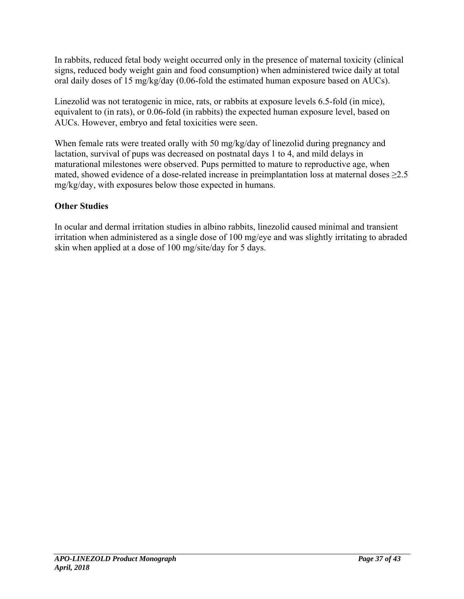In rabbits, reduced fetal body weight occurred only in the presence of maternal toxicity (clinical signs, reduced body weight gain and food consumption) when administered twice daily at total oral daily doses of 15 mg/kg/day (0.06-fold the estimated human exposure based on AUCs).

Linezolid was not teratogenic in mice, rats, or rabbits at exposure levels 6.5-fold (in mice), equivalent to (in rats), or 0.06-fold (in rabbits) the expected human exposure level, based on AUCs. However, embryo and fetal toxicities were seen.

When female rats were treated orally with 50 mg/kg/day of linezolid during pregnancy and lactation, survival of pups was decreased on postnatal days 1 to 4, and mild delays in maturational milestones were observed. Pups permitted to mature to reproductive age, when mated, showed evidence of a dose-related increase in preimplantation loss at maternal doses  $\geq$ 2.5 mg/kg/day, with exposures below those expected in humans.

# **Other Studies**

In ocular and dermal irritation studies in albino rabbits, linezolid caused minimal and transient irritation when administered as a single dose of 100 mg/eye and was slightly irritating to abraded skin when applied at a dose of 100 mg/site/day for 5 days.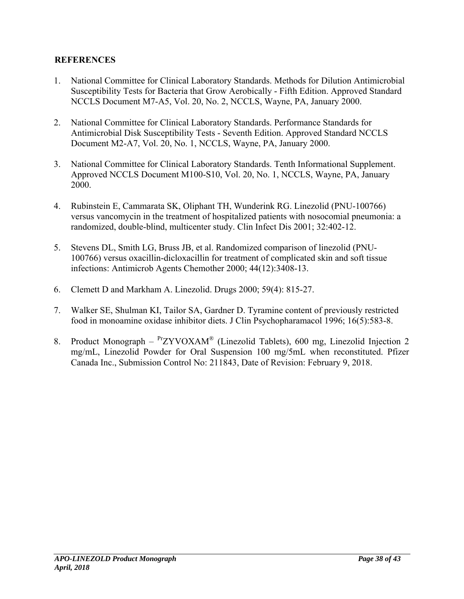## **REFERENCES**

- 1. National Committee for Clinical Laboratory Standards. Methods for Dilution Antimicrobial Susceptibility Tests for Bacteria that Grow Aerobically - Fifth Edition. Approved Standard NCCLS Document M7-A5, Vol. 20, No. 2, NCCLS, Wayne, PA, January 2000.
- 2. National Committee for Clinical Laboratory Standards. Performance Standards for Antimicrobial Disk Susceptibility Tests - Seventh Edition. Approved Standard NCCLS Document M2-A7, Vol. 20, No. 1, NCCLS, Wayne, PA, January 2000.
- 3. National Committee for Clinical Laboratory Standards. Tenth Informational Supplement. Approved NCCLS Document M100-S10, Vol. 20, No. 1, NCCLS, Wayne, PA, January 2000.
- 4. Rubinstein E, Cammarata SK, Oliphant TH, Wunderink RG. Linezolid (PNU-100766) versus vancomycin in the treatment of hospitalized patients with nosocomial pneumonia: a randomized, double-blind, multicenter study. Clin Infect Dis 2001; 32:402-12.
- 5. Stevens DL, Smith LG, Bruss JB, et al. Randomized comparison of linezolid (PNU-100766) versus oxacillin-dicloxacillin for treatment of complicated skin and soft tissue infections: Antimicrob Agents Chemother 2000; 44(12):3408-13.
- 6. Clemett D and Markham A. Linezolid. Drugs 2000; 59(4): 815-27.
- 7. Walker SE, Shulman KI, Tailor SA, Gardner D. Tyramine content of previously restricted food in monoamine oxidase inhibitor diets. J Clin Psychopharamacol 1996; 16(5):583-8.
- 8. Product Monograph  $P^T ZYVOXAM^*$  (Linezolid Tablets), 600 mg, Linezolid Injection 2 mg/mL, Linezolid Powder for Oral Suspension 100 mg/5mL when reconstituted. Pfizer Canada Inc., Submission Control No: 211843, Date of Revision: February 9, 2018.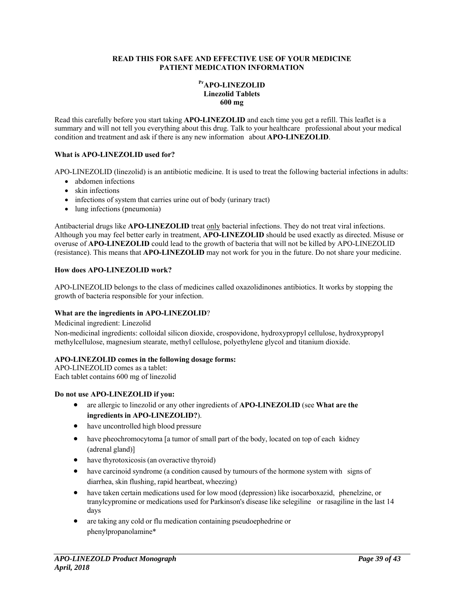#### **READ THIS FOR SAFE AND EFFECTIVE USE OF YOUR MEDICINE PATIENT MEDICATION INFORMATION**

#### **PrAPO-LINEZOLID Linezolid Tablets 600 mg**

Read this carefully before you start taking **APO-LINEZOLID** and each time you get a refill. This leaflet is a summary and will not tell you everything about this drug. Talk to your healthcare professional about your medical condition and treatment and ask if there is any new information about **APO-LINEZOLID**.

#### **What is APO-LINEZOLID used for?**

APO-LINEZOLID (linezolid) is an antibiotic medicine. It is used to treat the following bacterial infections in adults:

- abdomen infections
- skin infections
- infections of system that carries urine out of body (urinary tract)
- lung infections (pneumonia)

Antibacterial drugs like **APO-LINEZOLID** treat only bacterial infections. They do not treat viral infections. Although you may feel better early in treatment, **APO-LINEZOLID** should be used exactly as directed. Misuse or overuse of **APO-LINEZOLID** could lead to the growth of bacteria that will not be killed by APO-LINEZOLID (resistance). This means that **APO-LINEZOLID** may not work for you in the future. Do not share your medicine.

#### **How does APO-LINEZOLID work?**

APO-LINEZOLID belongs to the class of medicines called oxazolidinones antibiotics. It works by stopping the growth of bacteria responsible for your infection.

#### **What are the ingredients in APO-LINEZOLID**?

Medicinal ingredient: Linezolid

Non-medicinal ingredients: colloidal silicon dioxide, crospovidone, hydroxypropyl cellulose, hydroxypropyl methylcellulose, magnesium stearate, methyl cellulose, polyethylene glycol and titanium dioxide.

#### **APO-LINEZOLID comes in the following dosage forms:**

APO-LINEZOLID comes as a tablet: Each tablet contains 600 mg of linezolid

#### **Do not use APO-LINEZOLID if you:**

- are allergic to linezolid or any other ingredients of **APO-LINEZOLID** (see **What are the ingredients in APO-LINEZOLID?**).
- have uncontrolled high blood pressure
- have pheochromocytoma [a tumor of small part of the body, located on top of each kidney (adrenal gland)]
- have thyrotoxicosis (an overactive thyroid)
- have carcinoid syndrome (a condition caused by tumours of the hormone system with signs of diarrhea, skin flushing, rapid heartbeat, wheezing)
- have taken certain medications used for low mood (depression) like isocarboxazid, phenelzine, or tranylcypromine or medications used for Parkinson's disease like selegiline or rasagiline in the last 14 days
- are taking any cold or flu medication containing pseudoephedrine or phenylpropanolamine\*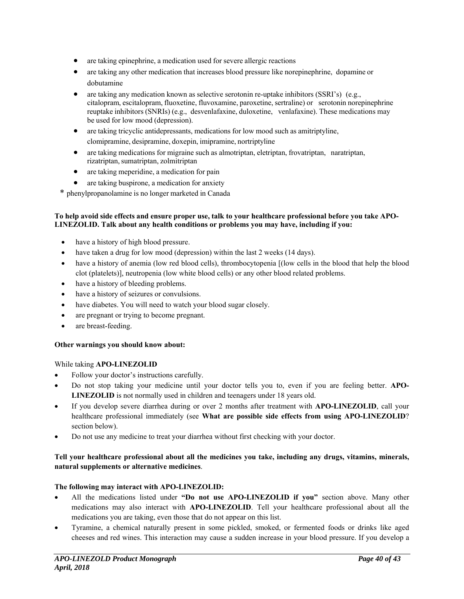- are taking epinephrine, a medication used for severe allergic reactions
- are taking any other medication that increases blood pressure like norepinephrine, dopamine or dobutamine
- are taking any medication known as selective serotonin re-uptake inhibitors (SSRI's) (e.g., citalopram, escitalopram, fluoxetine, fluvoxamine, paroxetine, sertraline) or serotonin norepinephrine reuptake inhibitors (SNRIs) (e.g., desvenlafaxine, duloxetine, venlafaxine). These medications may be used for low mood (depression).
- are taking tricyclic antidepressants, medications for low mood such as amitriptyline, clomipramine, desipramine, doxepin, imipramine, nortriptyline
- are taking medications for migraine such as almotriptan, eletriptan, frovatriptan, naratriptan, rizatriptan, sumatriptan, zolmitriptan
- are taking meperidine, a medication for pain
- are taking buspirone, a medication for anxiety
- \* phenylpropanolamine is no longer marketed in Canada

#### **To help avoid side effects and ensure proper use, talk to your healthcare professional before you take APO-LINEZOLID. Talk about any health conditions or problems you may have, including if you:**

- have a history of high blood pressure.
- have taken a drug for low mood (depression) within the last 2 weeks (14 days).
- have a history of anemia (low red blood cells), thrombocytopenia [(low cells in the blood that help the blood clot (platelets)], neutropenia (low white blood cells) or any other blood related problems.
- have a history of bleeding problems.
- have a history of seizures or convulsions.
- have diabetes. You will need to watch your blood sugar closely.
- are pregnant or trying to become pregnant.
- are breast-feeding.

#### **Other warnings you should know about:**

While taking **APO-LINEZOLID**

- Follow your doctor's instructions carefully.
- Do not stop taking your medicine until your doctor tells you to, even if you are feeling better. **APO-LINEZOLID** is not normally used in children and teenagers under 18 years old.
- If you develop severe diarrhea during or over 2 months after treatment with **APO-LINEZOLID**, call your healthcare professional immediately (see **What are possible side effects from using APO-LINEZOLID**? section below).
- Do not use any medicine to treat your diarrhea without first checking with your doctor.

#### **Tell your healthcare professional about all the medicines you take, including any drugs, vitamins, minerals, natural supplements or alternative medicines**.

#### **The following may interact with APO-LINEZOLID:**

- All the medications listed under **"Do not use APO-LINEZOLID if you"** section above. Many other medications may also interact with **APO-LINEZOLID**. Tell your healthcare professional about all the medications you are taking, even those that do not appear on this list.
- Tyramine, a chemical naturally present in some pickled, smoked, or fermented foods or drinks like aged cheeses and red wines. This interaction may cause a sudden increase in your blood pressure. If you develop a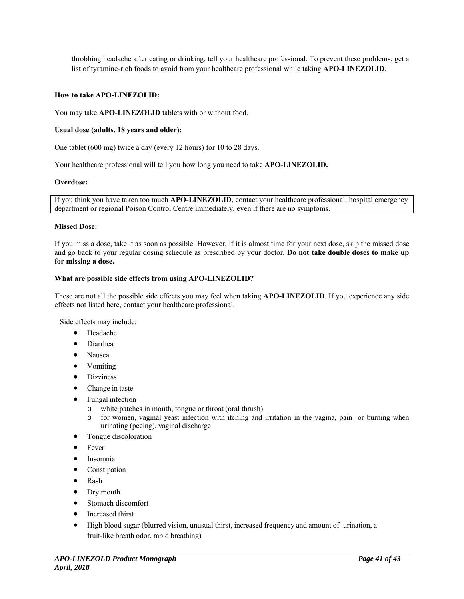throbbing headache after eating or drinking, tell your healthcare professional. To prevent these problems, get a list of tyramine-rich foods to avoid from your healthcare professional while taking **APO-LINEZOLID**.

#### **How to take APO-LINEZOLID:**

You may take **APO-LINEZOLID** tablets with or without food.

#### **Usual dose (adults, 18 years and older):**

One tablet (600 mg) twice a day (every 12 hours) for 10 to 28 days.

Your healthcare professional will tell you how long you need to take **APO-LINEZOLID.** 

#### **Overdose:**

If you think you have taken too much **APO-LINEZOLID**, contact your healthcare professional, hospital emergency department or regional Poison Control Centre immediately, even if there are no symptoms.

#### **Missed Dose:**

If you miss a dose, take it as soon as possible. However, if it is almost time for your next dose, skip the missed dose and go back to your regular dosing schedule as prescribed by your doctor. **Do not take double doses to make up for missing a dose.**

#### **What are possible side effects from using APO-LINEZOLID?**

These are not all the possible side effects you may feel when taking **APO-LINEZOLID**. If you experience any side effects not listed here, contact your healthcare professional.

Side effects may include:

- Headache
- Diarrhea
- Nausea
- Vomiting
- Dizziness
- Change in taste
- Fungal infection
	- o white patches in mouth, tongue or throat (oral thrush)
	- o for women, vaginal yeast infection with itching and irritation in the vagina, pain or burning when urinating (peeing), vaginal discharge
- Tongue discoloration
- Fever
- **·** Insomnia
- Constipation
- Rash
- Dry mouth
- Stomach discomfort
- Increased thirst
- High blood sugar (blurred vision, unusual thirst, increased frequency and amount of urination, a fruit-like breath odor, rapid breathing)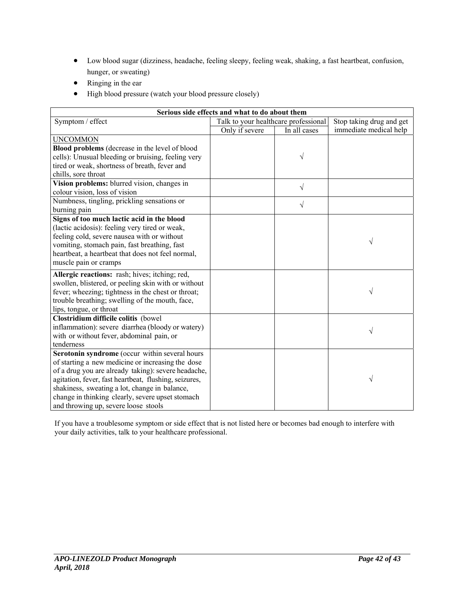- Low blood sugar (dizziness, headache, feeling sleepy, feeling weak, shaking, a fast heartbeat, confusion, hunger, or sweating)
- Ringing in the ear
- $\bullet$  High blood pressure (watch your blood pressure closely)

| Serious side effects and what to do about them        |                                      |                          |                        |  |  |  |  |
|-------------------------------------------------------|--------------------------------------|--------------------------|------------------------|--|--|--|--|
| Symptom / effect                                      | Talk to your healthcare professional | Stop taking drug and get |                        |  |  |  |  |
|                                                       | Only if severe                       | In all cases             | immediate medical help |  |  |  |  |
| <b>UNCOMMON</b>                                       |                                      |                          |                        |  |  |  |  |
| Blood problems (decrease in the level of blood        |                                      |                          |                        |  |  |  |  |
| cells): Unusual bleeding or bruising, feeling very    |                                      | V                        |                        |  |  |  |  |
| tired or weak, shortness of breath, fever and         |                                      |                          |                        |  |  |  |  |
| chills, sore throat                                   |                                      |                          |                        |  |  |  |  |
| Vision problems: blurred vision, changes in           |                                      | $\sqrt{}$                |                        |  |  |  |  |
| colour vision, loss of vision                         |                                      |                          |                        |  |  |  |  |
| Numbness, tingling, prickling sensations or           |                                      | $\sqrt{ }$               |                        |  |  |  |  |
| burning pain                                          |                                      |                          |                        |  |  |  |  |
| Signs of too much lactic acid in the blood            |                                      |                          |                        |  |  |  |  |
| (lactic acidosis): feeling very tired or weak,        |                                      |                          |                        |  |  |  |  |
| feeling cold, severe nausea with or without           |                                      |                          | V                      |  |  |  |  |
| vomiting, stomach pain, fast breathing, fast          |                                      |                          |                        |  |  |  |  |
| heartbeat, a heartbeat that does not feel normal,     |                                      |                          |                        |  |  |  |  |
| muscle pain or cramps                                 |                                      |                          |                        |  |  |  |  |
| Allergic reactions: rash; hives; itching; red,        |                                      |                          |                        |  |  |  |  |
| swollen, blistered, or peeling skin with or without   |                                      |                          |                        |  |  |  |  |
| fever; wheezing; tightness in the chest or throat;    |                                      |                          | V                      |  |  |  |  |
| trouble breathing; swelling of the mouth, face,       |                                      |                          |                        |  |  |  |  |
| lips, tongue, or throat                               |                                      |                          |                        |  |  |  |  |
| Clostridium difficile colitis (bowel                  |                                      |                          |                        |  |  |  |  |
| inflammation): severe diarrhea (bloody or watery)     |                                      |                          | V                      |  |  |  |  |
| with or without fever, abdominal pain, or             |                                      |                          |                        |  |  |  |  |
| tenderness                                            |                                      |                          |                        |  |  |  |  |
| Serotonin syndrome (occur within several hours        |                                      |                          |                        |  |  |  |  |
| of starting a new medicine or increasing the dose     |                                      |                          |                        |  |  |  |  |
| of a drug you are already taking): severe headache,   |                                      |                          |                        |  |  |  |  |
| agitation, fever, fast heartbeat, flushing, seizures, |                                      |                          | V                      |  |  |  |  |
| shakiness, sweating a lot, change in balance,         |                                      |                          |                        |  |  |  |  |
| change in thinking clearly, severe upset stomach      |                                      |                          |                        |  |  |  |  |
| and throwing up, severe loose stools                  |                                      |                          |                        |  |  |  |  |

If you have a troublesome symptom or side effect that is not listed here or becomes bad enough to interfere with your daily activities, talk to your healthcare professional.